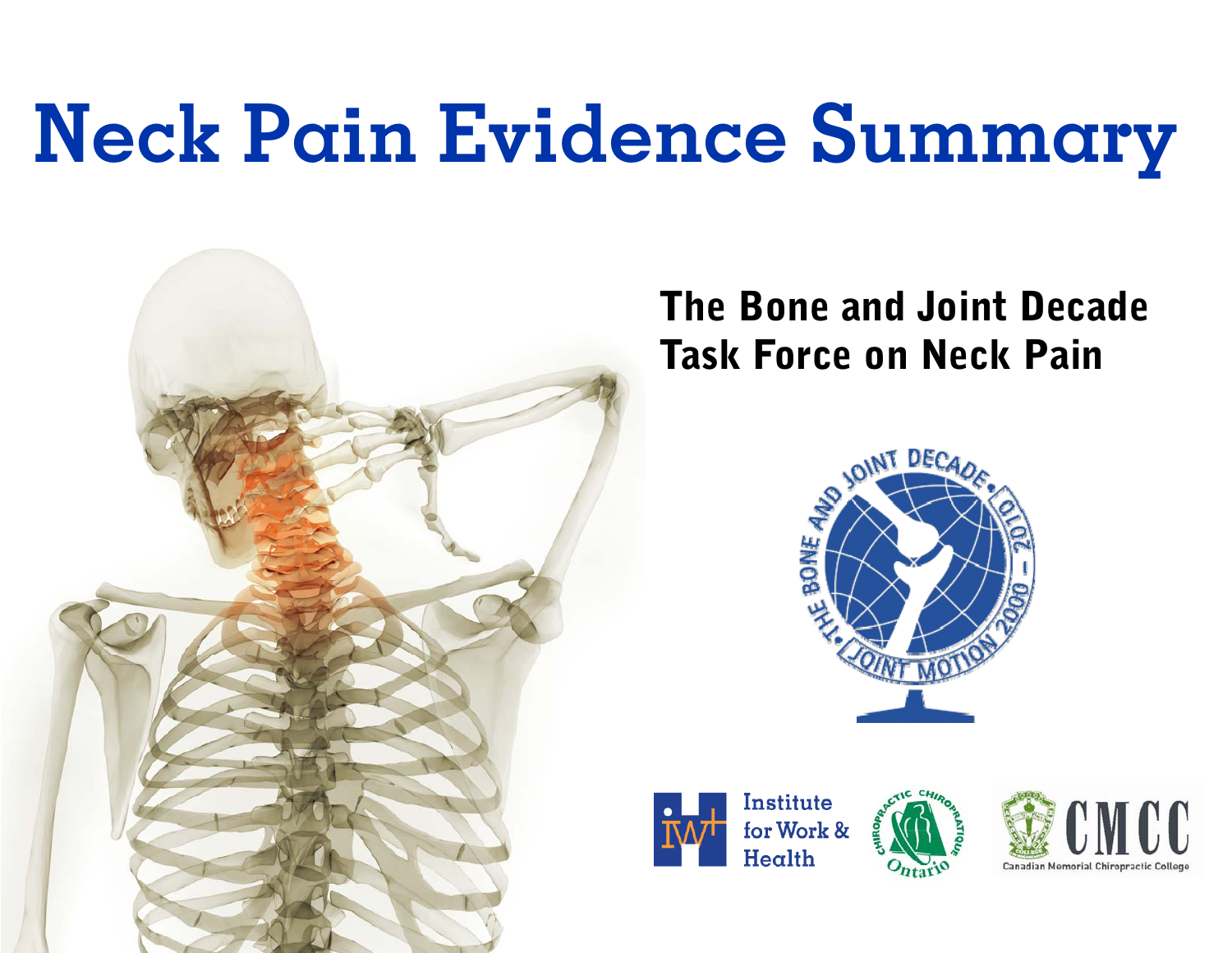# **Neck Pain Evidence Summary**



# The Bone and Joint Decade Task Force on Neck Pain





Institute for Work &  $H$ ealth



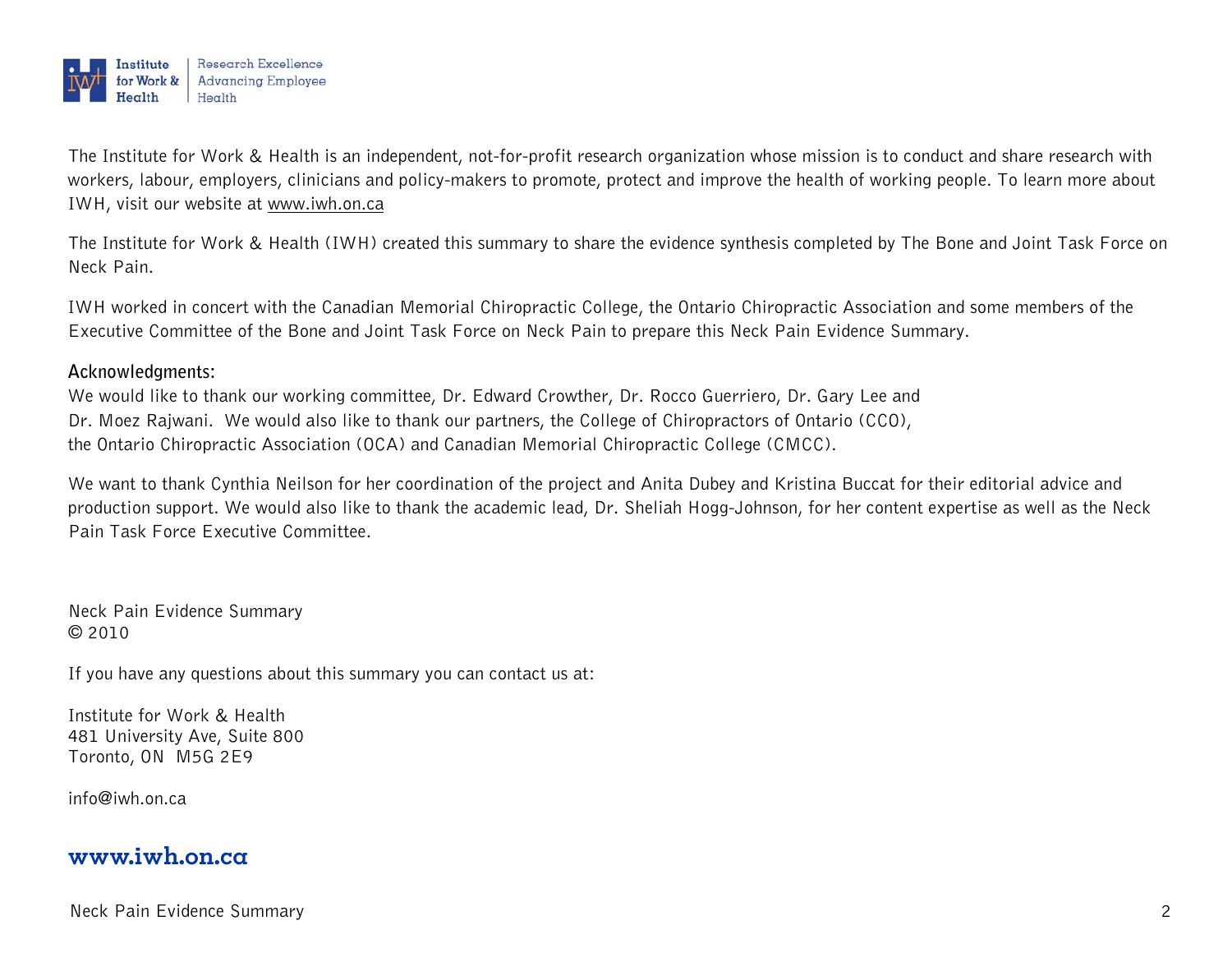

The Institute for Work & Health is an independent, not-for-profit research organization whose mission is to conduct and share research with workers, labour, employers, clinicians and policy-makers to promote, protect and improve the health of working people. To learn more about IWH, visit our website at www.iwh.on.ca

The Institute for Work & Health (IWH) created this summary to share the evidence synthesis completed by The Bone and Joint Task Force on Neck Pain.

IWH worked in concert with the Canadian Memorial Chiropractic College, the Ontario Chiropractic Association and some members of the Executive Committee of the Bone and Joint Task Force on Neck Pain to prepare this Neck Pain Evidence Summary.

#### **Acknowledgments:**

We would like to thank our working committee, Dr. Edward Crowther, Dr. Rocco Guerriero, Dr. Gary Lee and Dr. Moez Rajwani. We would also like to thank our partners, the College of Chiropractors of Ontario (CCO), the Ontario Chiropractic Association (OCA) and Canadian Memorial Chiropractic College (CMCC).

We want to thank Cynthia Neilson for her coordination of the project and Anita Dubey and Kristina Buccat for their editorial advice and production support. We would also like to thank the academic lead, Dr. Sheliah Hogg-Johnson, for her content expertise as well as the Neck Pain Task Force Executive Committee.

Neck Pain Evidence Summary © 2010

If you have any questions about this summary you can contact us at:

Institute for Work & Health 481 University Ave, Suite 800 Toronto, ON M5G 2E9

info@iwh.on.ca

#### **www.iwh.on.ca**

Neck Pain Evidence Summary 2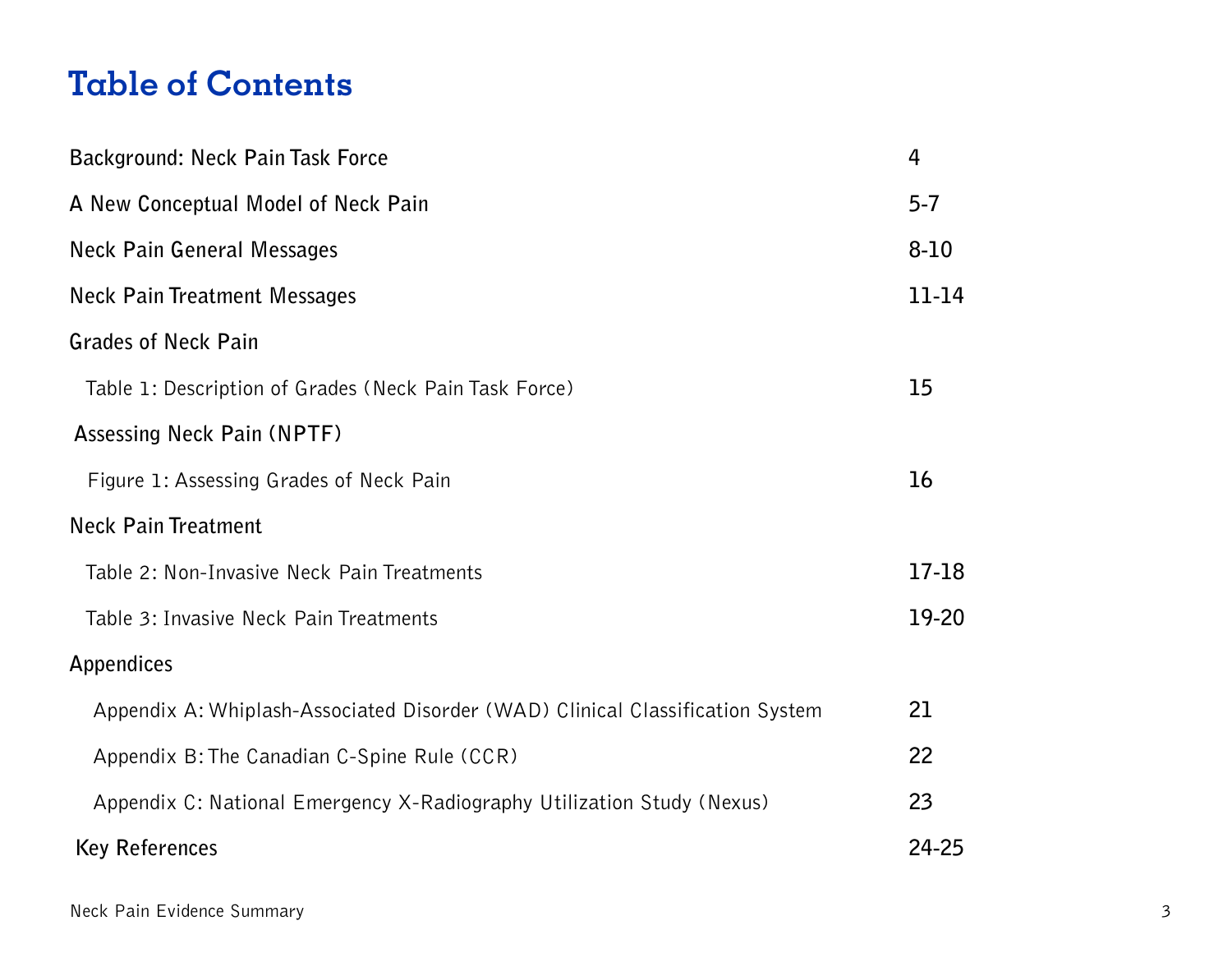### **Table of Contents**

| Background: Neck Pain Task Force                                              | 4        |
|-------------------------------------------------------------------------------|----------|
| A New Conceptual Model of Neck Pain                                           | $5 - 7$  |
| Neck Pain General Messages                                                    | $8 - 10$ |
| <b>Neck Pain Treatment Messages</b>                                           | 11-14    |
| <b>Grades of Neck Pain</b>                                                    |          |
| Table 1: Description of Grades (Neck Pain Task Force)                         | 15       |
| <b>Assessing Neck Pain (NPTF)</b>                                             |          |
| Figure 1: Assessing Grades of Neck Pain                                       | 16       |
| <b>Neck Pain Treatment</b>                                                    |          |
| Table 2: Non-Invasive Neck Pain Treatments                                    | $17-18$  |
| Table 3: Invasive Neck Pain Treatments                                        | 19-20    |
| Appendices                                                                    |          |
| Appendix A: Whiplash-Associated Disorder (WAD) Clinical Classification System | 21       |
| Appendix B: The Canadian C-Spine Rule (CCR)                                   | 22       |
| Appendix C: National Emergency X-Radiography Utilization Study (Nexus)        | 23       |
| <b>Key References</b>                                                         | 24-25    |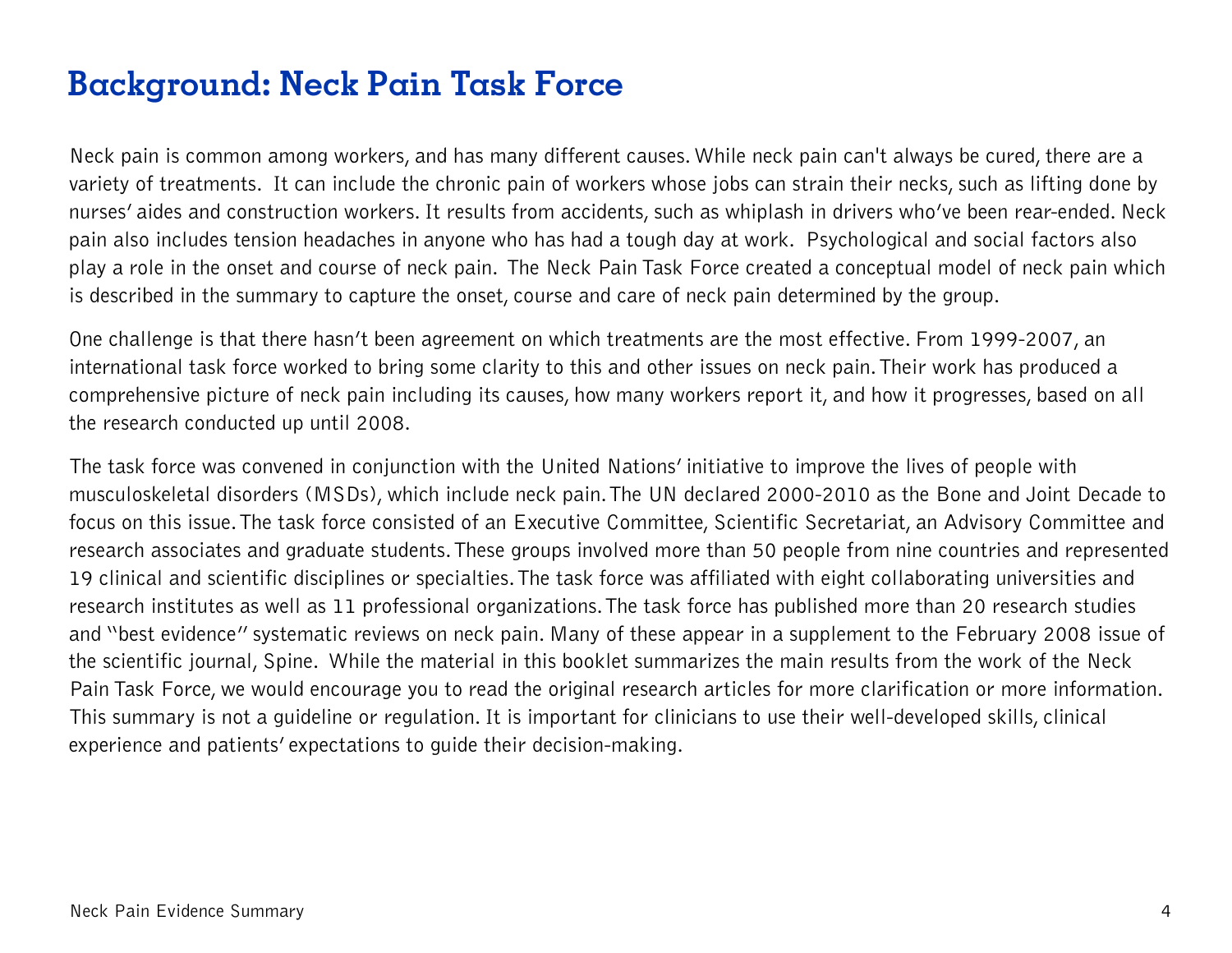# **Background: Neck Pain Task Force**

Neck pain is common among workers, and has many different causes. While neck pain can't always be cured, there are a variety of treatments. It can include the chronic pain of workers whose jobs can strain their necks, such as lifting done by nurses' aides and construction workers. It results from accidents, such as whiplash in drivers who've been rear-ended. Neck pain also includes tension headaches in anyone who has had a tough day at work. Psychological and social factors also play a role in the onset and course of neck pain. The Neck Pain Task Force created a conceptual model of neck pain which is described in the summary to capture the onset, course and care of neck pain determined by the group.

One challenge is that there hasn't been agreement on which treatments are the most effective. From 1999-2007, an international task force worked to bring some clarity to this and other issues on neck pain. Their work has produced a comprehensive picture of neck pain including its causes, how many workers report it, and how it progresses, based on all the research conducted up until 2008.

The task force was convened in conjunction with the United Nations' initiative to improve the lives of people with musculoskeletal disorders (MSDs), which include neck pain. The UN declared 2000-2010 as the Bone and Joint Decade to focus on this issue. The task force consisted of an Executive Committee, Scientific Secretariat, an Advisory Committee and research associates and graduate students. These groups involved more than 50 people from nine countries and represented 19 clinical and scientific disciplines or specialties. The task force was affiliated with eight collaborating universities and research institutes as well as 11 professional organizations. The task force has published more than 20 research studies and "best evidence" systematic reviews on neck pain. Many of these appear in a supplement to the February 2008 issue of the scientific journal, Spine. While the material in this booklet summarizes the main results from the work of the Neck Pain Task Force, we would encourage you to read the original research articles for more clarification or more information. This summary is not a guideline or regulation. It is important for clinicians to use their well-developed skills, clinical experience and patients' expectations to guide their decision-making.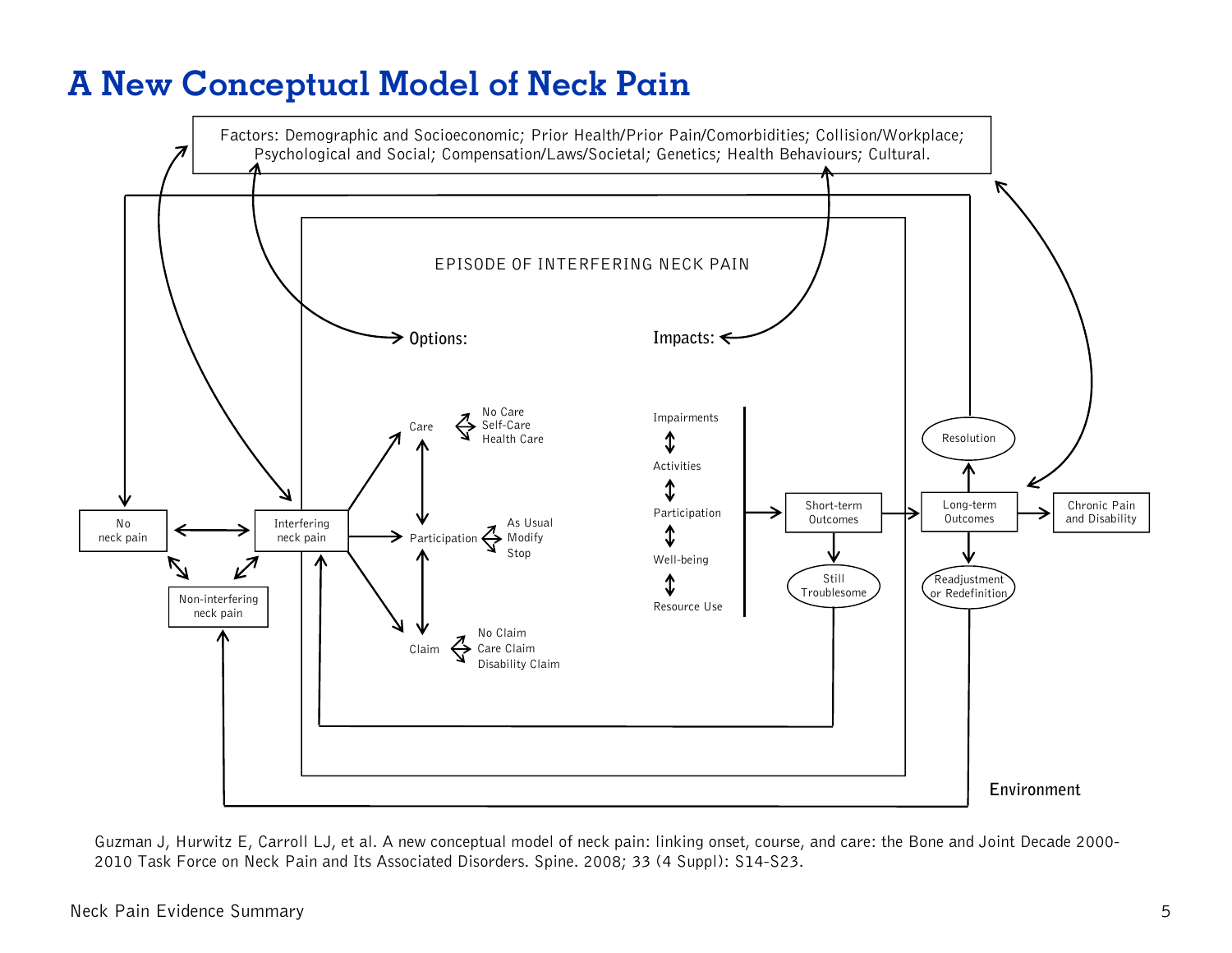# **A New Conceptual Model of Neck Pain**



Guzman J, Hurwitz E, Carroll LJ, et al. A new conceptual model of neck pain: linking onset, course, and care: the Bone and Joint Decade 2000- 2010 Task Force on Neck Pain and Its Associated Disorders. Spine. 2008; 33 (4 Suppl): S14-S23.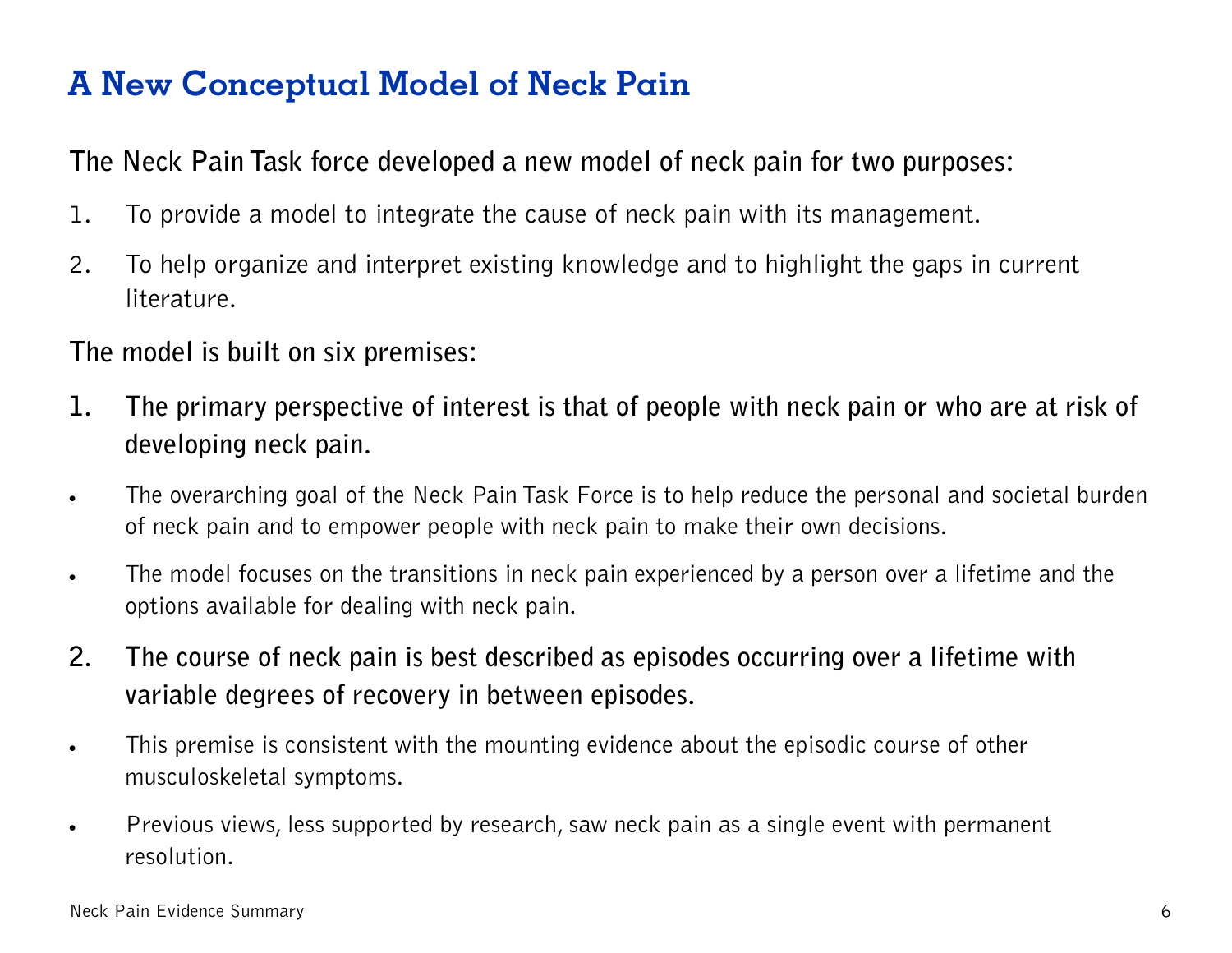# **A New Conceptual Model of Neck Pain**

**The Neck Pain Task force developed a new model of neck pain for two purposes:** 

- 1. To provide a model to integrate the cause of neck pain with its management.
- 2. To help organize and interpret existing knowledge and to highlight the gaps in current literature.

#### **The model is built on six premises:**

- **1. The primary perspective of interest is that of people with neck pain or who are at risk of developing neck pain.**
- The overarching goal of the Neck Pain Task Force is to help reduce the personal and societal burden of neck pain and to empower people with neck pain to make their own decisions.
- The model focuses on the transitions in neck pain experienced by a person over a lifetime and the options available for dealing with neck pain.
- **2. The course of neck pain is best described as episodes occurring over a lifetime with variable degrees of recovery in between episodes.**
- This premise is consistent with the mounting evidence about the episodic course of other musculoskeletal symptoms.
- Previous views, less supported by research, saw neck pain as a single event with permanent resolution.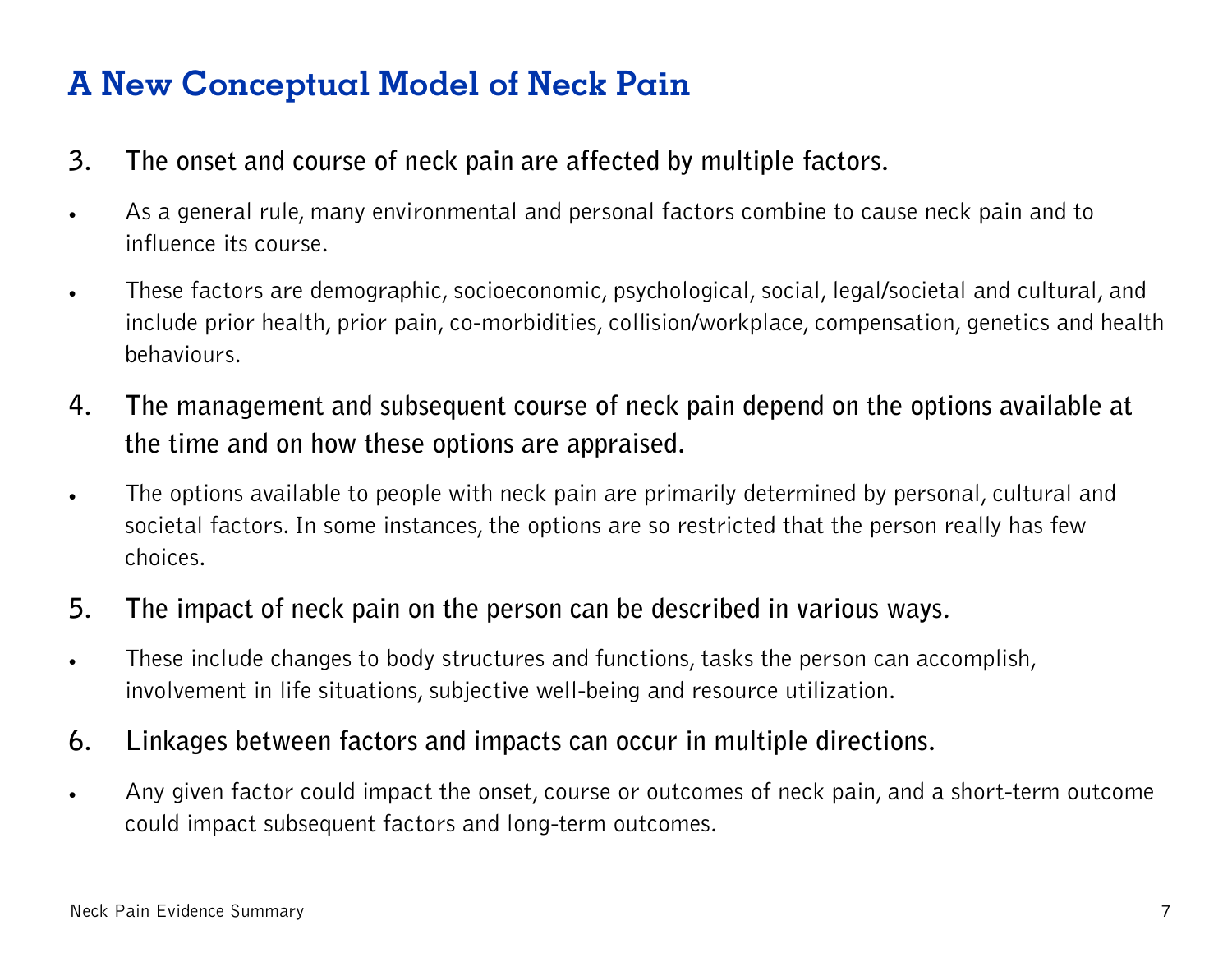# **A New Conceptual Model of Neck Pain**

- **3. The onset and course of neck pain are affected by multiple factors.**
- As a general rule, many environmental and personal factors combine to cause neck pain and to influence its course.
- . These factors are demographic, socioeconomic, psychological, social, legal/societal and cultural, and include prior health, prior pain, co-morbidities, collision/workplace, compensation, genetics and health behaviours.
- **4. The management and subsequent course of neck pain depend on the options available at the time and on how these options are appraised.**
- The options available to people with neck pain are primarily determined by personal, cultural and societal factors. In some instances, the options are so restricted that the person really has few choices.
- **5. The impact of neck pain on the person can be described in various ways.**
- . These include changes to body structures and functions, tasks the person can accomplish, involvement in life situations, subjective well-being and resource utilization.
- **6. Linkages between factors and impacts can occur in multiple directions.**
- Any given factor could impact the onset, course or outcomes of neck pain, and a short-term outcome could impact subsequent factors and long-term outcomes.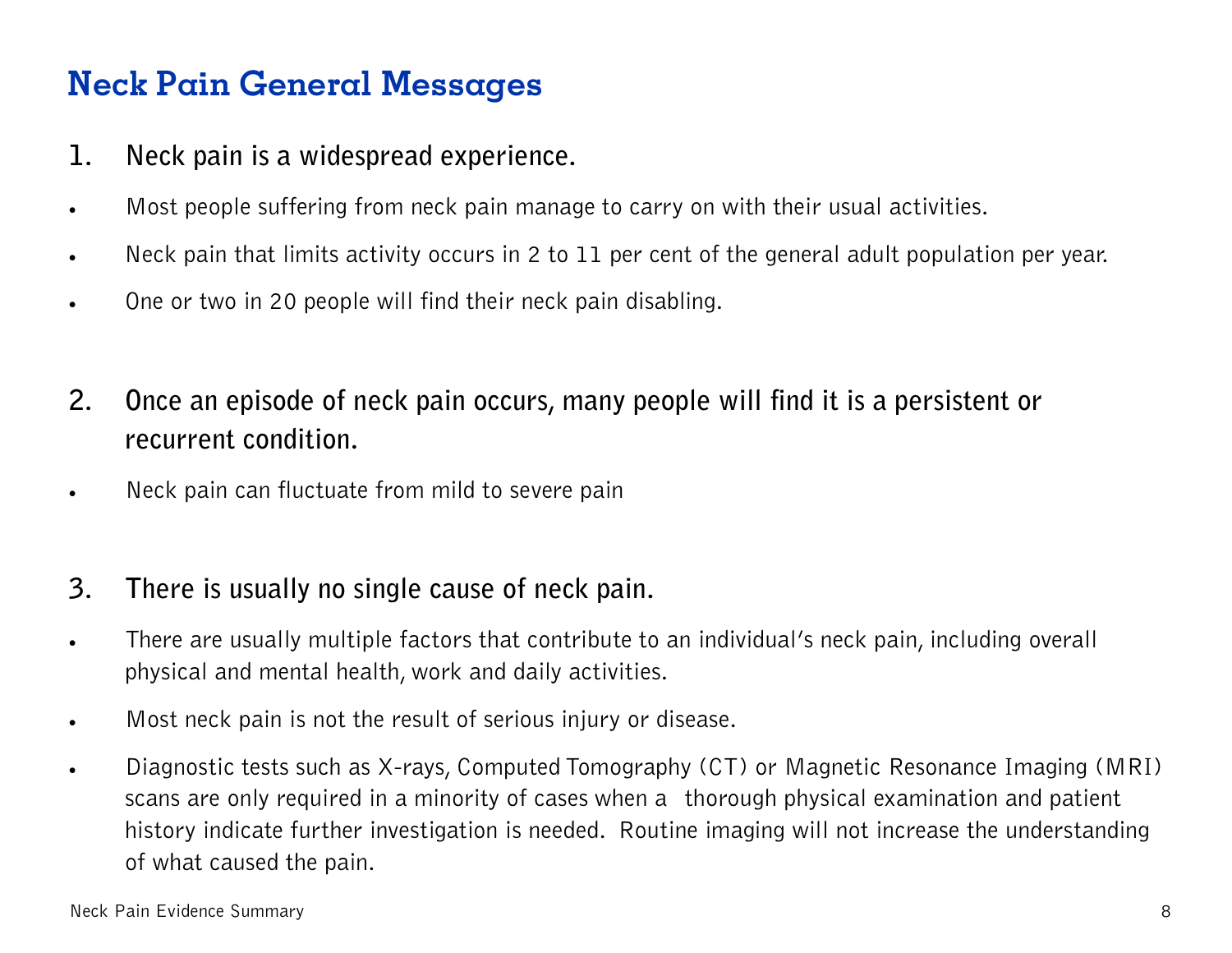# **Neck Pain General Messages**

- **1. Neck pain is a widespread experience.**
- . Most people suffering from neck pain manage to carry on with their usual activities.
- Neck pain that limits activity occurs in 2 to 11 per cent of the general adult population per year.
- . One or two in 20 people will find their neck pain disabling.
- **2. Once an episode of neck pain occurs, many people will find it is a persistent or recurrent condition.**
- . Neck pain can fluctuate from mild to severe pain

#### **3. There is usually no single cause of neck pain.**

- There are usually multiple factors that contribute to an individual's neck pain, including overall physical and mental health, work and daily activities.
- . Most neck pain is not the result of serious injury or disease.
- Diagnostic tests such as X-rays, Computed Tomography (CT) or Magnetic Resonance Imaging (MRI) scans are only required in a minority of cases when a thorough physical examination and patient history indicate further investigation is needed. Routine imaging will not increase the understanding of what caused the pain.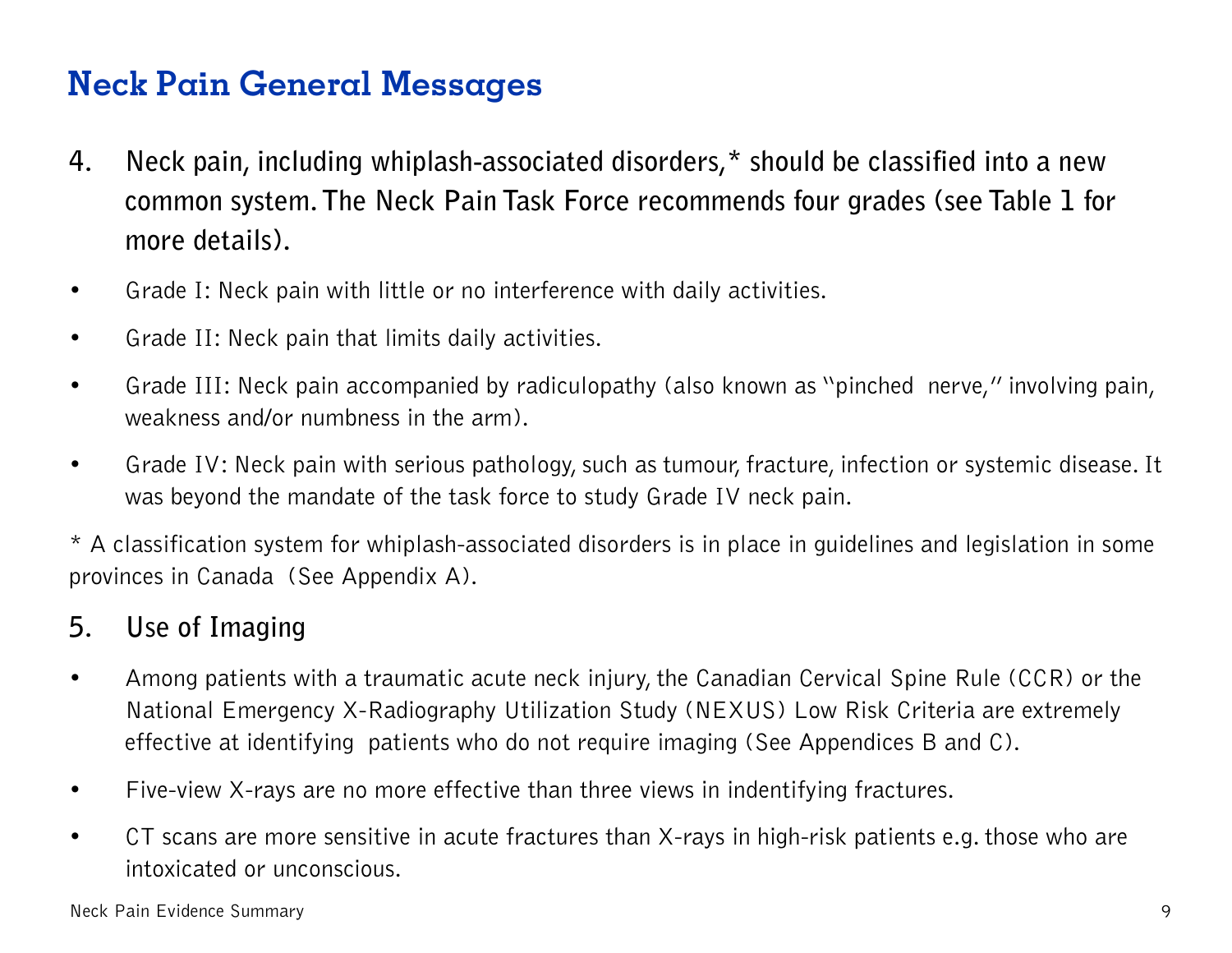## **Neck Pain General Messages**

- **4. Neck pain, including whiplash-associated disorders,\* should be classified into a new common system. The Neck Pain Task Force recommends four grades (see Table 1 for more details).**
- Grade I: Neck pain with little or no interference with daily activities.
- Grade II: Neck pain that limits daily activities.
- Grade III: Neck pain accompanied by radiculopathy (also known as "pinched nerve," involving pain, weakness and/or numbness in the arm).
- Grade IV: Neck pain with serious pathology, such as tumour, fracture, infection or systemic disease. It was beyond the mandate of the task force to study Grade IV neck pain.

\* A classification system for whiplash-associated disorders is in place in guidelines and legislation in some provinces in Canada (See Appendix A).

#### **5. Use of Imaging**

- Among patients with a traumatic acute neck injury, the Canadian Cervical Spine Rule (CCR) or the National Emergency X-Radiography Utilization Study (NEXUS) Low Risk Criteria are extremely effective at identifying patients who do not require imaging (See Appendices B and C).
- Five-view X-rays are no more effective than three views in indentifying fractures.
- CT scans are more sensitive in acute fractures than X-rays in high-risk patients e.g. those who are intoxicated or unconscious.

Neck Pain Evidence Summary 9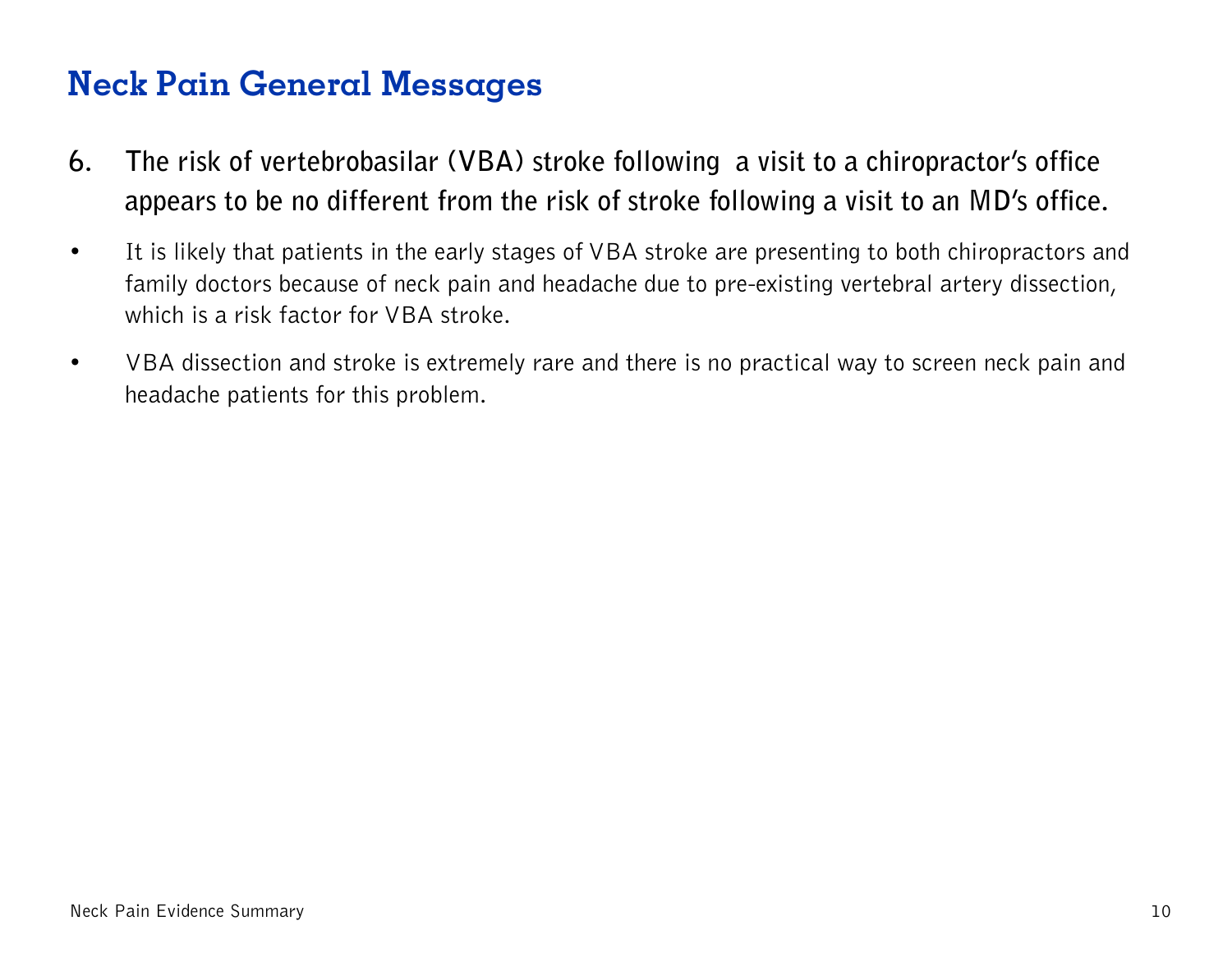### **Neck Pain General Messages**

- **6. The risk of vertebrobasilar (VBA) stroke following a visit to a chiropractor's office appears to be no different from the risk of stroke following a visit to an MD's office.**
- It is likely that patients in the early stages of VBA stroke are presenting to both chiropractors and family doctors because of neck pain and headache due to pre-existing vertebral artery dissection, which is a risk factor for VBA stroke.
- VBA dissection and stroke is extremely rare and there is no practical way to screen neck pain and headache patients for this problem.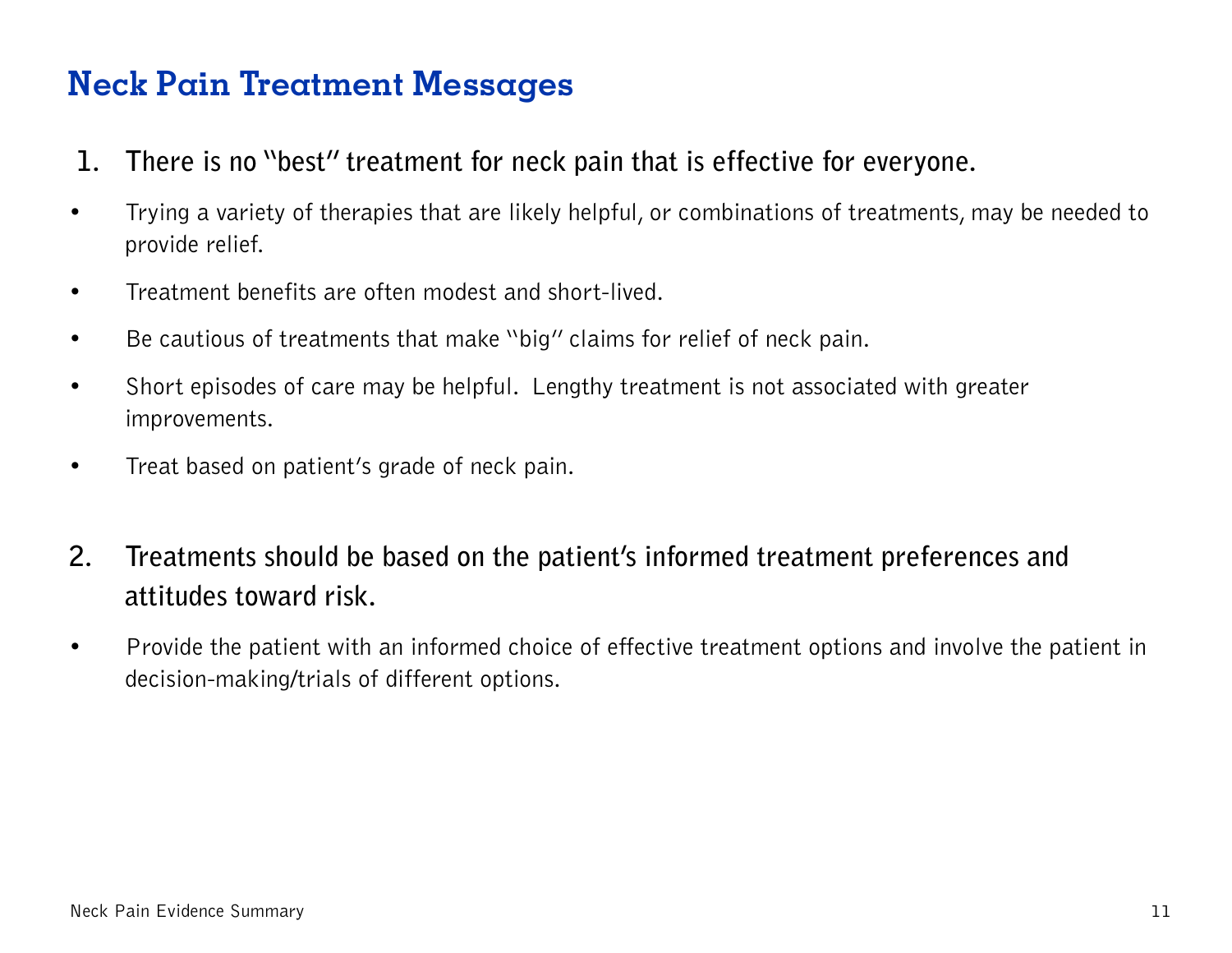- **1. There is no "best" treatment for neck pain that is effective for everyone.**
- Trying a variety of therapies that are likely helpful, or combinations of treatments, may be needed to provide relief.
- Treatment benefits are often modest and short-lived.
- Be cautious of treatments that make "big" claims for relief of neck pain.
- Short episodes of care may be helpful. Lengthy treatment is not associated with greater improvements.
- Treat based on patient's grade of neck pain.
- **2. Treatments should be based on the patient's informed treatment preferences and attitudes toward risk.**
- Provide the patient with an informed choice of effective treatment options and involve the patient in decision-making/trials of different options.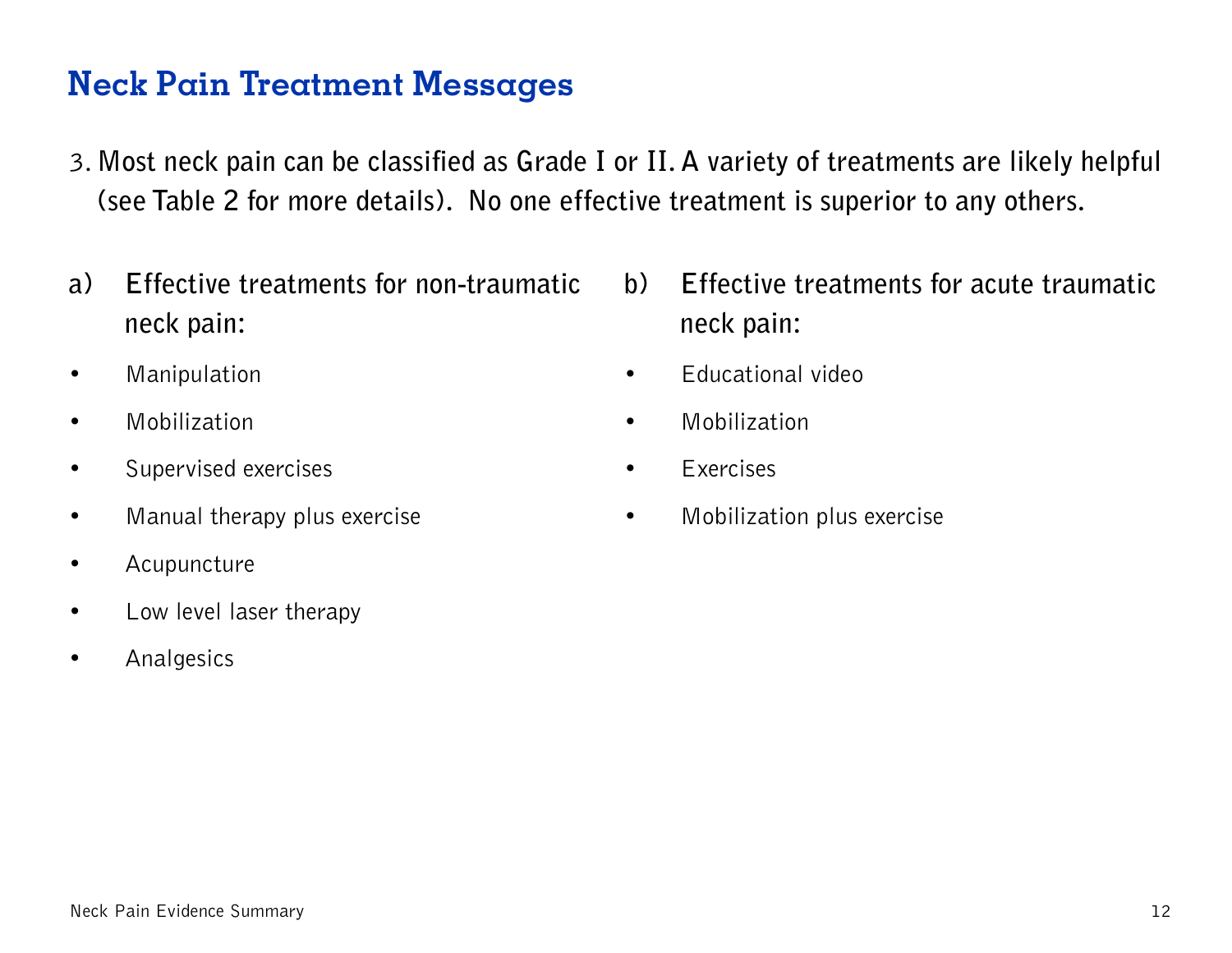- 3. **Most neck pain can be classified as Grade I or II. A variety of treatments are likely helpful (see Table 2 for more details). No one effective treatment is superior to any others.**
- **a) Effective treatments for non-traumatic neck pain:**
- Manipulation
- Mobilization
- Supervised exercises
- Manual therapy plus exercise
- Acupuncture
- Low level laser therapy
- Analgesics
- **b) Effective treatments for acute traumatic neck pain:**
- Educational video
- Mobilization
- Exercises
- Mobilization plus exercise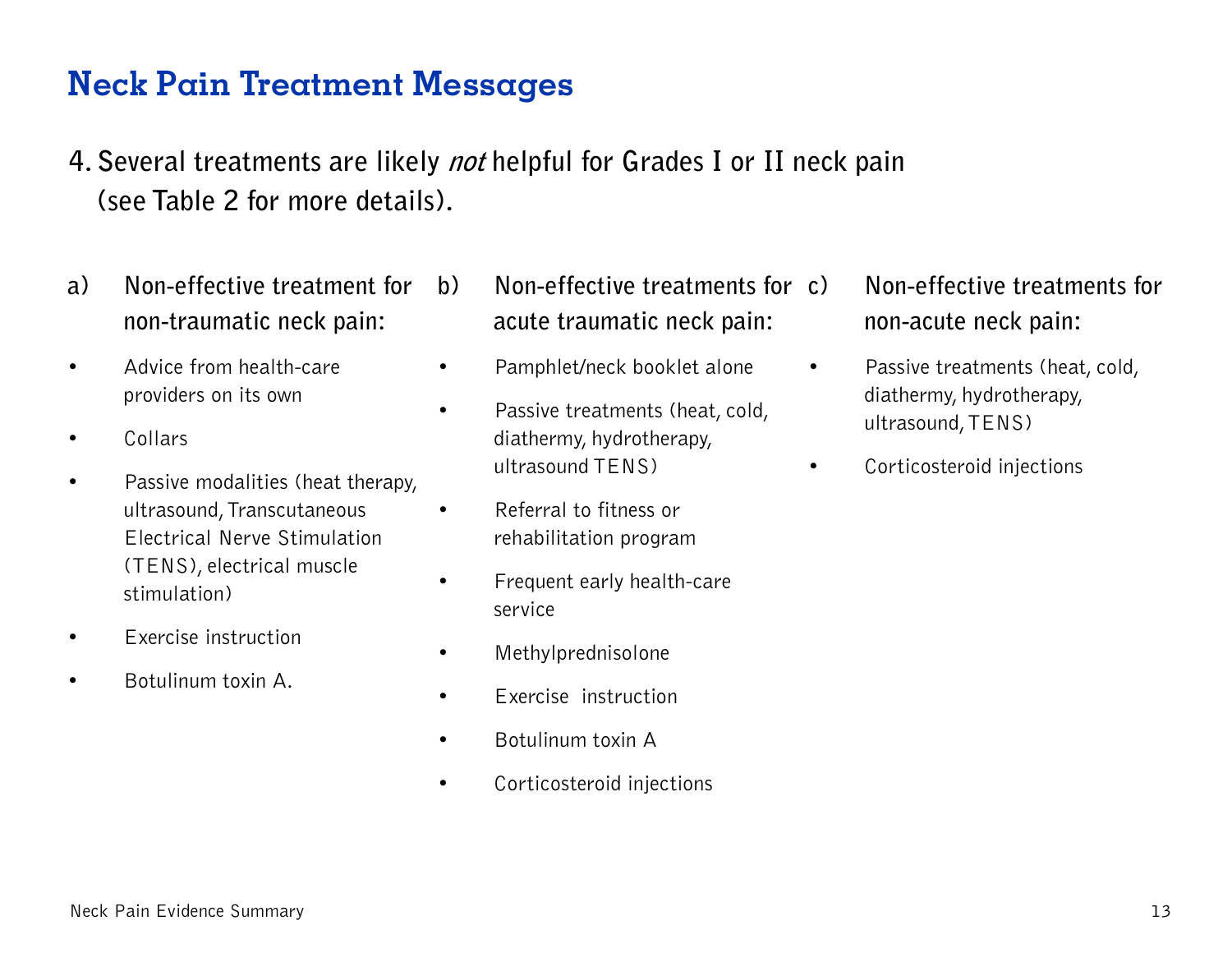- **4. Several treatments are likely not helpful for Grades I or II neck pain (see Table 2 for more details).**
- **a) Non-effective treatment for non-traumatic neck pain:**
- Advice from health-care providers on its own
- Collars
- Passive modalities (heat therapy, ultrasound, Transcutaneous Electrical Nerve Stimulation (TENS), electrical muscle stimulation)
- Exercise instruction
- Botulinum toxin A.
- **b) Non-effective treatments for acute traumatic neck pain:**
- Pamphlet/neck booklet alone
- Passive treatments (heat, cold, diathermy, hydrotherapy, ultrasound TENS)
- Referral to fitness or rehabilitation program
- Frequent early health-care service
- Methylprednisolone
- Exercise instruction
- Botulinum toxin A
- Corticosteroid injections
- **c) Non-effective treatments for non-acute neck pain:**
- Passive treatments (heat, cold, diathermy, hydrotherapy, ultrasound, TENS)
- Corticosteroid injections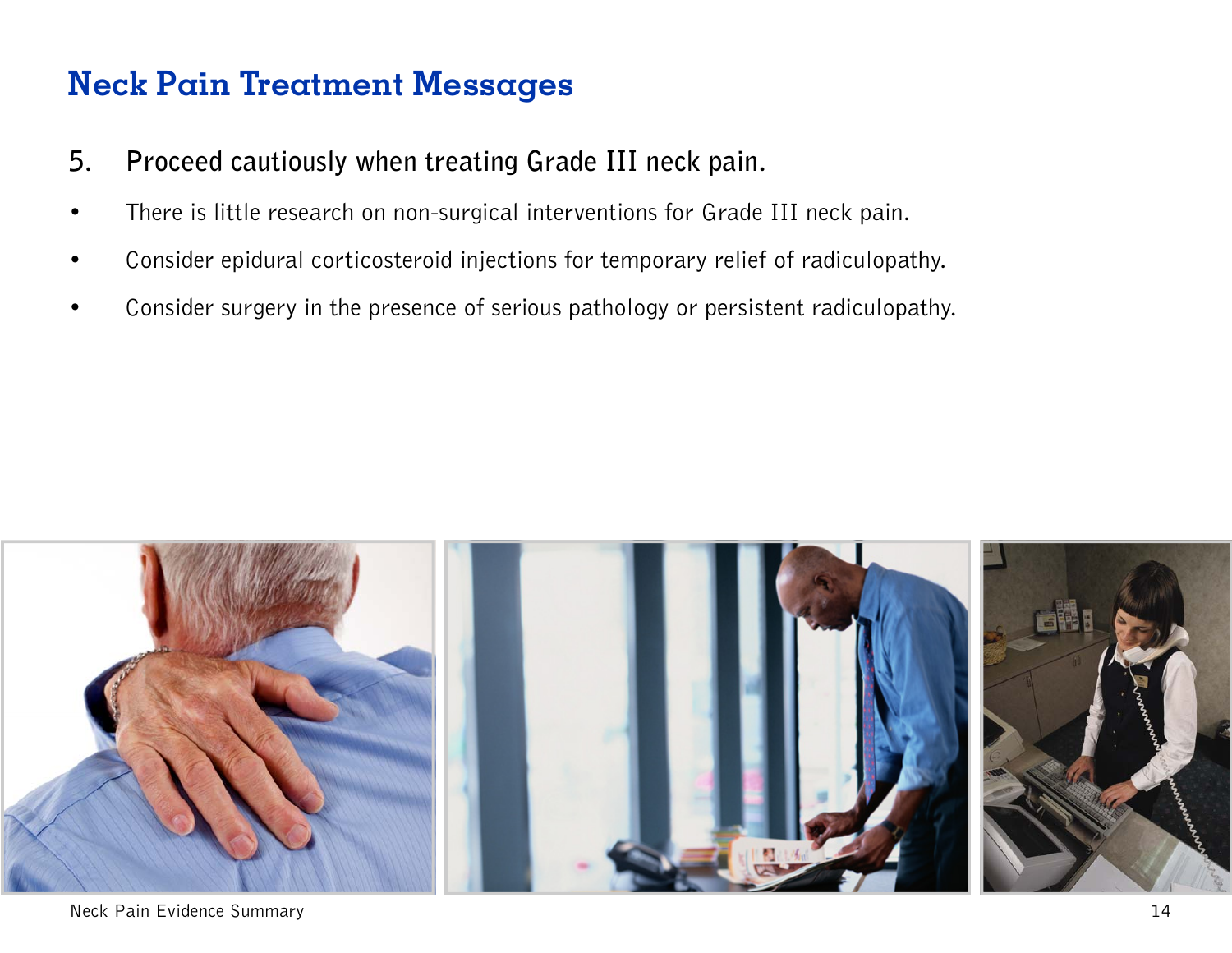- **5. Proceed cautiously when treating Grade III neck pain.**
- There is little research on non-surgical interventions for Grade III neck pain.
- Consider epidural corticosteroid injections for temporary relief of radiculopathy.
- Consider surgery in the presence of serious pathology or persistent radiculopathy.

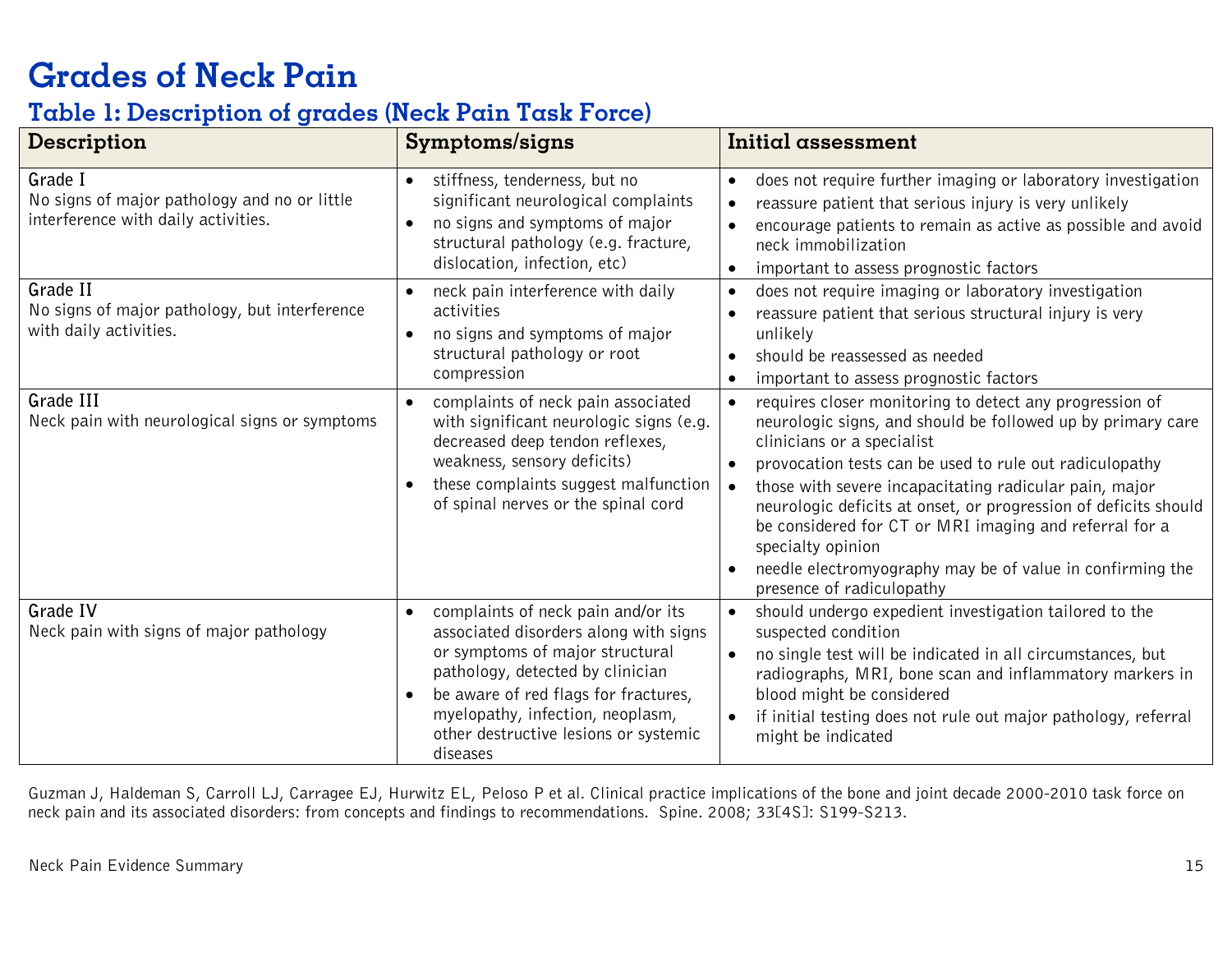# **Grades of Neck Pain**

#### **Table 1: Description of grades (Neck Pain Task Force)**

| Description                                                                                    | Symptoms/signs                                                                                                                                                                                                                                                                                   | <b>Initial assessment</b>                                                                                                                                                                                                                                                                                                                                                                                                                                                                                                                                    |
|------------------------------------------------------------------------------------------------|--------------------------------------------------------------------------------------------------------------------------------------------------------------------------------------------------------------------------------------------------------------------------------------------------|--------------------------------------------------------------------------------------------------------------------------------------------------------------------------------------------------------------------------------------------------------------------------------------------------------------------------------------------------------------------------------------------------------------------------------------------------------------------------------------------------------------------------------------------------------------|
| Grade I<br>No signs of major pathology and no or little<br>interference with daily activities. | stiffness, tenderness, but no<br>$\bullet$<br>significant neurological complaints<br>no signs and symptoms of major<br>$\bullet$<br>structural pathology (e.g. fracture,<br>dislocation, infection, etc)                                                                                         | does not require further imaging or laboratory investigation<br>$\bullet$<br>reassure patient that serious injury is very unlikely<br>$\bullet$<br>encourage patients to remain as active as possible and avoid<br>neck immobilization<br>important to assess prognostic factors<br>$\bullet$                                                                                                                                                                                                                                                                |
| Grade II<br>No signs of major pathology, but interference<br>with daily activities.            | neck pain interference with daily<br>$\bullet$<br>activities<br>no signs and symptoms of major<br>$\bullet$<br>structural pathology or root<br>compression                                                                                                                                       | does not require imaging or laboratory investigation<br>$\bullet$<br>reassure patient that serious structural injury is very<br>unlikely<br>should be reassessed as needed<br>important to assess prognostic factors<br>$\bullet$                                                                                                                                                                                                                                                                                                                            |
| Grade III<br>Neck pain with neurological signs or symptoms                                     | complaints of neck pain associated<br>$\bullet$<br>with significant neurologic signs (e.g.<br>decreased deep tendon reflexes,<br>weakness, sensory deficits)<br>these complaints suggest malfunction<br>of spinal nerves or the spinal cord                                                      | requires closer monitoring to detect any progression of<br>$\bullet$<br>neurologic signs, and should be followed up by primary care<br>clinicians or a specialist<br>provocation tests can be used to rule out radiculopathy<br>$\bullet$<br>those with severe incapacitating radicular pain, major<br>neurologic deficits at onset, or progression of deficits should<br>be considered for CT or MRI imaging and referral for a<br>specialty opinion<br>needle electromyography may be of value in confirming the<br>$\bullet$<br>presence of radiculopathy |
| <b>Grade IV</b><br>Neck pain with signs of major pathology                                     | complaints of neck pain and/or its<br>$\bullet$<br>associated disorders along with signs<br>or symptoms of major structural<br>pathology, detected by clinician<br>be aware of red flags for fractures,<br>myelopathy, infection, neoplasm,<br>other destructive lesions or systemic<br>diseases | should undergo expedient investigation tailored to the<br>$\bullet$<br>suspected condition<br>no single test will be indicated in all circumstances, but<br>$\bullet$<br>radiographs, MRI, bone scan and inflammatory markers in<br>blood might be considered<br>if initial testing does not rule out major pathology, referral<br>might be indicated                                                                                                                                                                                                        |

Guzman J, Haldeman S, Carroll LJ, Carragee EJ, Hurwitz EL, Peloso P et al. Clinical practice implications of the bone and joint decade 2000-2010 task force on neck pain and its associated disorders: from concepts and findings to recommendations. Spine. 2008; 33[4S]: S199-S213.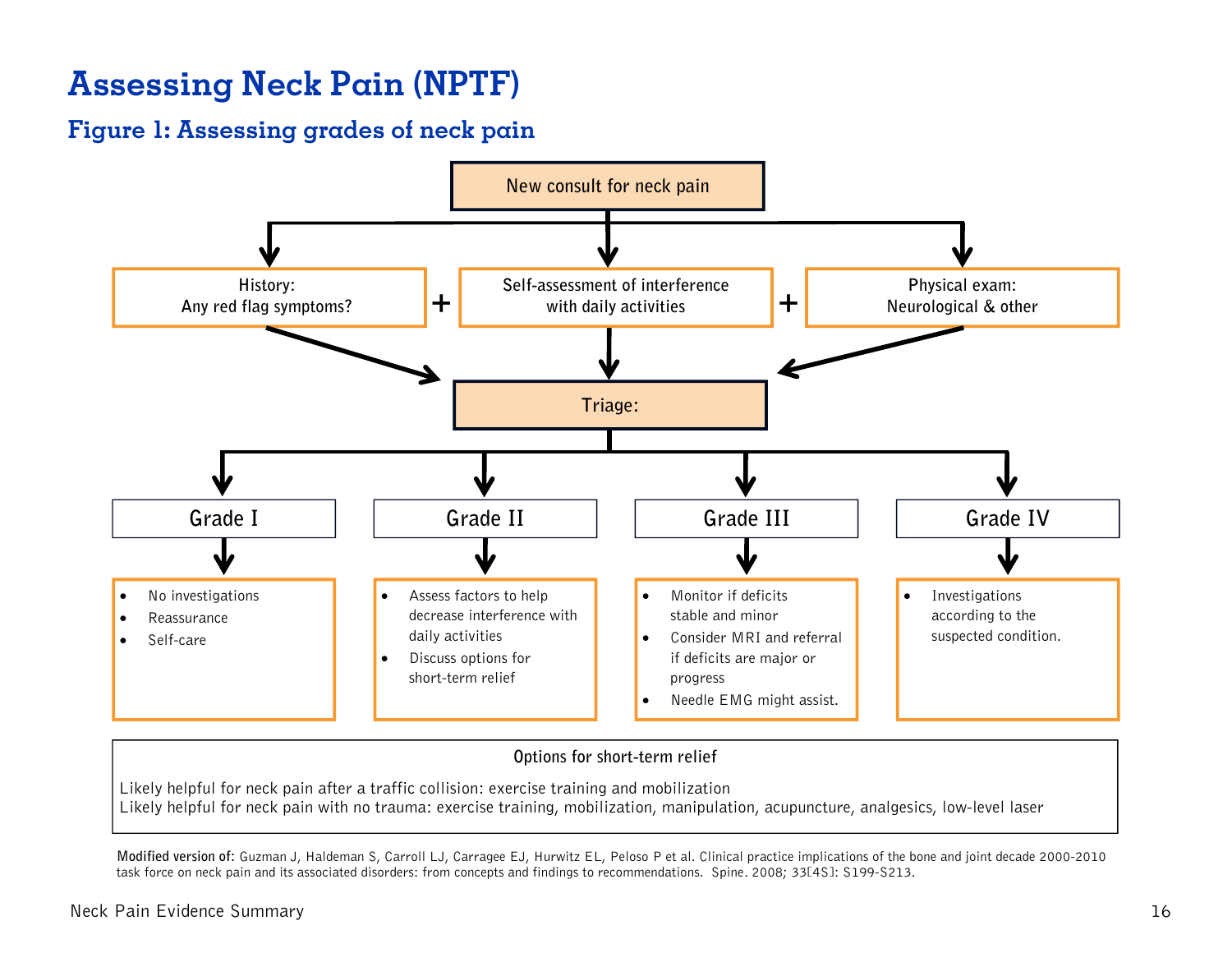# **Assessing Neck Pain (NPTF)**

#### **Figure 1: Assessing grades of neck pain**



#### **Options for short-term relief**

Likely helpful for neck pain after a traffic collision: exercise training and mobilization Likely helpful for neck pain with no trauma: exercise training, mobilization, manipulation, acupuncture, analgesics, low-level laser

**Modified version of:** Guzman J, Haldeman S, Carroll LJ, Carragee EJ, Hurwitz EL, Peloso P et al. Clinical practice implications of the bone and joint decade 2000-2010 task force on neck pain and its associated disorders: from concepts and findings to recommendations. Spine. 2008; 33[4S]: S199-S213.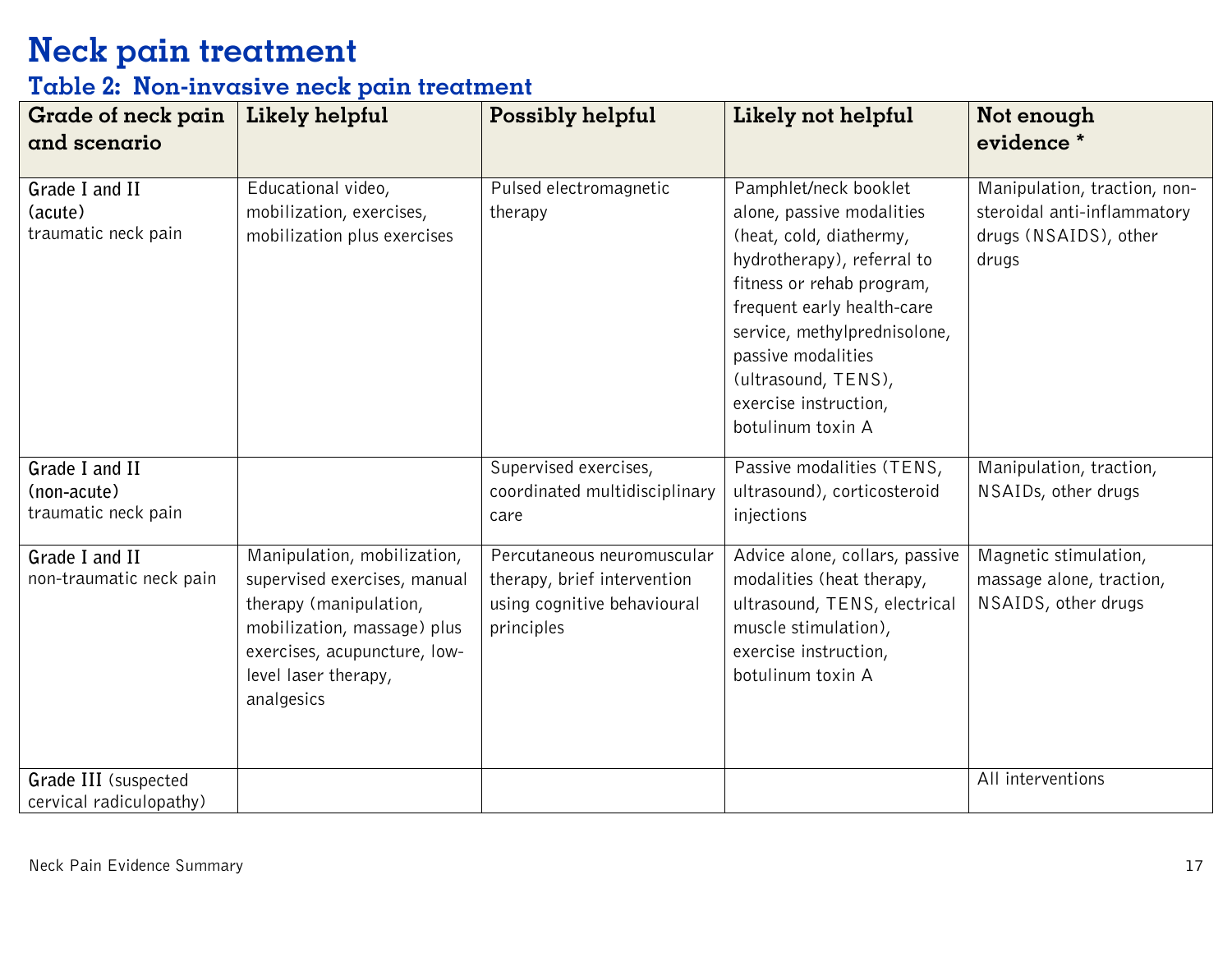#### **Table 2: Non-invasive neck pain treatment**

| Grade of neck pain<br>and scenario                   | Likely helpful                                                                                                                                                                             | Possibly helpful                                                                                       | Likely not helpful                                                                                                                                                                                                                                                                                | Not enough<br>evidence *                                                                      |
|------------------------------------------------------|--------------------------------------------------------------------------------------------------------------------------------------------------------------------------------------------|--------------------------------------------------------------------------------------------------------|---------------------------------------------------------------------------------------------------------------------------------------------------------------------------------------------------------------------------------------------------------------------------------------------------|-----------------------------------------------------------------------------------------------|
| Grade I and II<br>(acute)<br>traumatic neck pain     | Educational video,<br>mobilization, exercises,<br>mobilization plus exercises                                                                                                              | Pulsed electromagnetic<br>therapy                                                                      | Pamphlet/neck booklet<br>alone, passive modalities<br>(heat, cold, diathermy,<br>hydrotherapy), referral to<br>fitness or rehab program,<br>frequent early health-care<br>service, methylprednisolone,<br>passive modalities<br>(ultrasound, TENS),<br>exercise instruction,<br>botulinum toxin A | Manipulation, traction, non-<br>steroidal anti-inflammatory<br>drugs (NSAIDS), other<br>drugs |
| Grade I and II<br>(non-acute)<br>traumatic neck pain |                                                                                                                                                                                            | Supervised exercises,<br>coordinated multidisciplinary<br>care                                         | Passive modalities (TENS,<br>ultrasound), corticosteroid<br>injections                                                                                                                                                                                                                            | Manipulation, traction,<br>NSAIDs, other drugs                                                |
| Grade I and II<br>non-traumatic neck pain            | Manipulation, mobilization,<br>supervised exercises, manual<br>therapy (manipulation,<br>mobilization, massage) plus<br>exercises, acupuncture, low-<br>level laser therapy,<br>analgesics | Percutaneous neuromuscular<br>therapy, brief intervention<br>using cognitive behavioural<br>principles | Advice alone, collars, passive<br>modalities (heat therapy,<br>ultrasound, TENS, electrical<br>muscle stimulation),<br>exercise instruction,<br>botulinum toxin A                                                                                                                                 | Magnetic stimulation,<br>massage alone, traction,<br>NSAIDS, other drugs                      |
| Grade III (suspected<br>cervical radiculopathy)      |                                                                                                                                                                                            |                                                                                                        |                                                                                                                                                                                                                                                                                                   | All interventions                                                                             |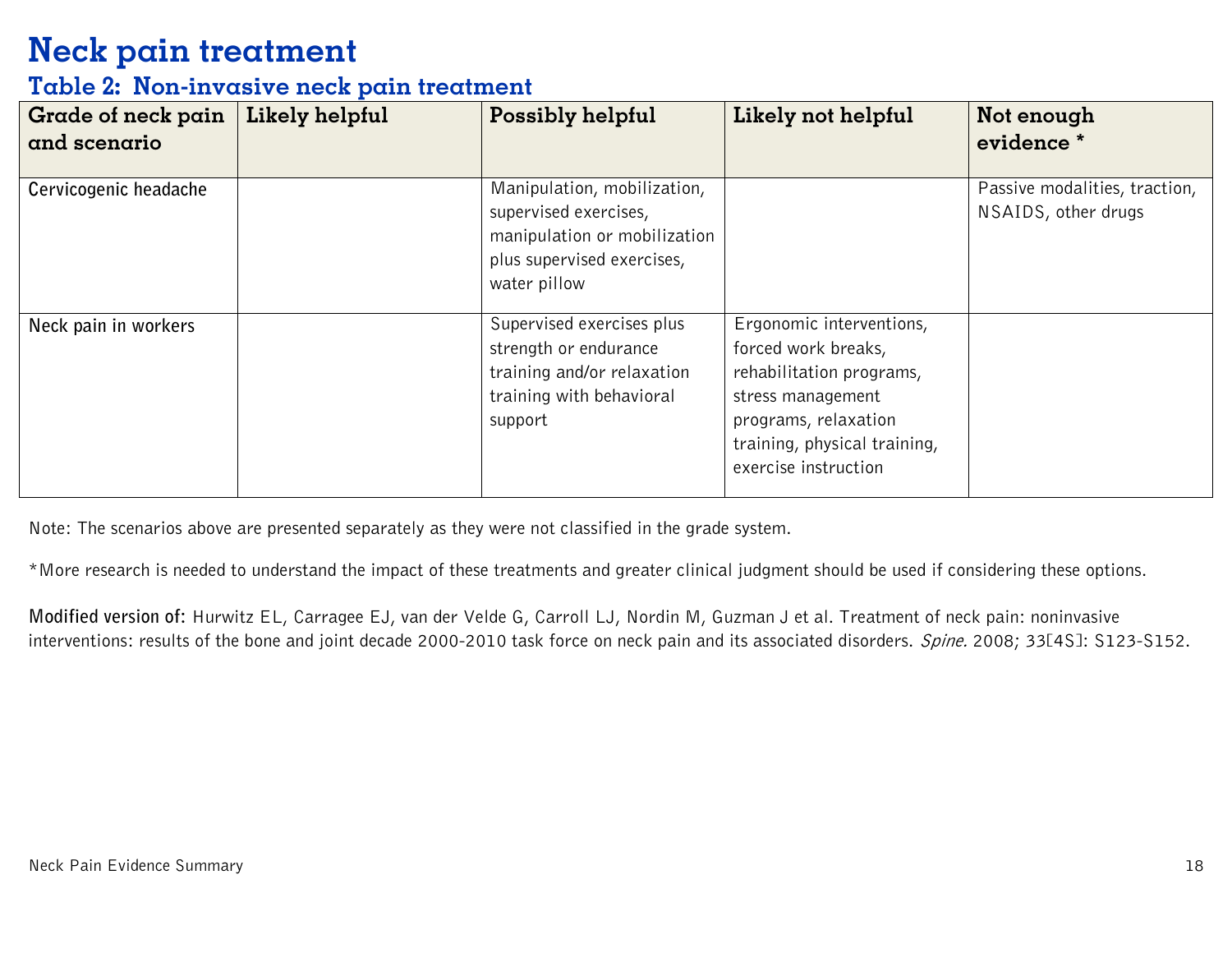#### **Table 2: Non-invasive neck pain treatment**

| <b>Grade of neck pain</b><br>and scenario | Likely helpful | Possibly helpful                                                                                                                   | Likely not helpful                                                                                                                                                               | Not enough<br>evidence *                             |
|-------------------------------------------|----------------|------------------------------------------------------------------------------------------------------------------------------------|----------------------------------------------------------------------------------------------------------------------------------------------------------------------------------|------------------------------------------------------|
| Cervicogenic headache                     |                | Manipulation, mobilization,<br>supervised exercises,<br>manipulation or mobilization<br>plus supervised exercises,<br>water pillow |                                                                                                                                                                                  | Passive modalities, traction,<br>NSAIDS, other drugs |
| Neck pain in workers                      |                | Supervised exercises plus<br>strength or endurance<br>training and/or relaxation<br>training with behavioral<br>support            | Ergonomic interventions,<br>forced work breaks,<br>rehabilitation programs,<br>stress management<br>programs, relaxation<br>training, physical training,<br>exercise instruction |                                                      |

Note: The scenarios above are presented separately as they were not classified in the grade system.

\*More research is needed to understand the impact of these treatments and greater clinical judgment should be used if considering these options.

**Modified version of:** Hurwitz EL, Carragee EJ, van der Velde G, Carroll LJ, Nordin M, Guzman J et al. Treatment of neck pain: noninvasive interventions: results of the bone and joint decade 2000-2010 task force on neck pain and its associated disorders. Spine. 2008; 33[4S]: S123-S152.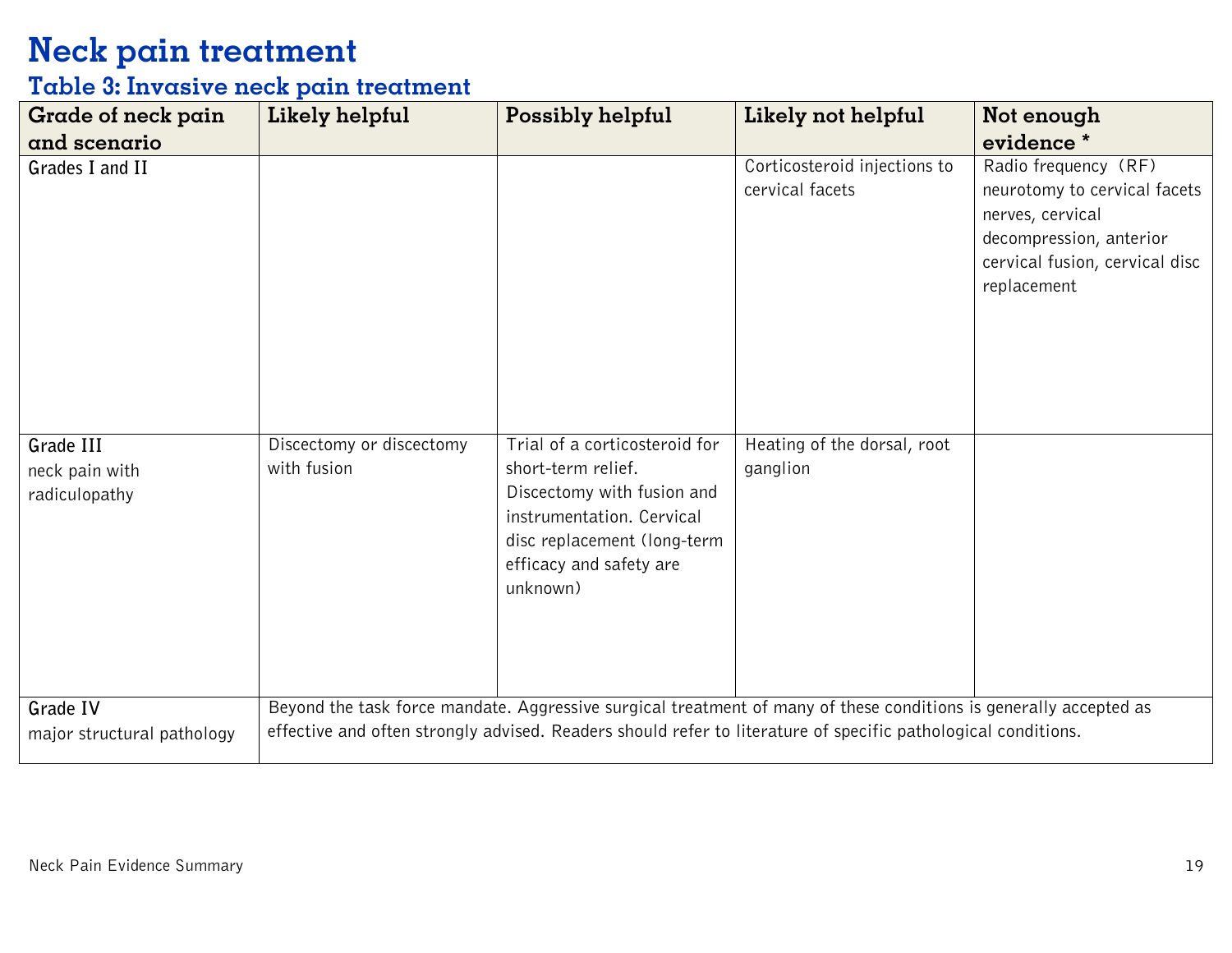#### **Table 3: Invasive neck pain treatment**

| Grade of neck pain                           | Likely helpful                          | Possibly helpful                                                                                                                                                                     | Likely not helpful                                                                                                                                                                                                                 | Not enough                                                                                                                                           |
|----------------------------------------------|-----------------------------------------|--------------------------------------------------------------------------------------------------------------------------------------------------------------------------------------|------------------------------------------------------------------------------------------------------------------------------------------------------------------------------------------------------------------------------------|------------------------------------------------------------------------------------------------------------------------------------------------------|
| and scenario                                 |                                         |                                                                                                                                                                                      |                                                                                                                                                                                                                                    | evidence*                                                                                                                                            |
| Grades I and II                              |                                         |                                                                                                                                                                                      | Corticosteroid injections to<br>cervical facets                                                                                                                                                                                    | Radio frequency (RF)<br>neurotomy to cervical facets<br>nerves, cervical<br>decompression, anterior<br>cervical fusion, cervical disc<br>replacement |
| Grade III<br>neck pain with<br>radiculopathy | Discectomy or discectomy<br>with fusion | Trial of a corticosteroid for<br>short-term relief.<br>Discectomy with fusion and<br>instrumentation. Cervical<br>disc replacement (long-term<br>efficacy and safety are<br>unknown) | Heating of the dorsal, root<br>ganglion                                                                                                                                                                                            |                                                                                                                                                      |
| Grade IV<br>major structural pathology       |                                         |                                                                                                                                                                                      | Beyond the task force mandate. Aggressive surgical treatment of many of these conditions is generally accepted as<br>effective and often strongly advised. Readers should refer to literature of specific pathological conditions. |                                                                                                                                                      |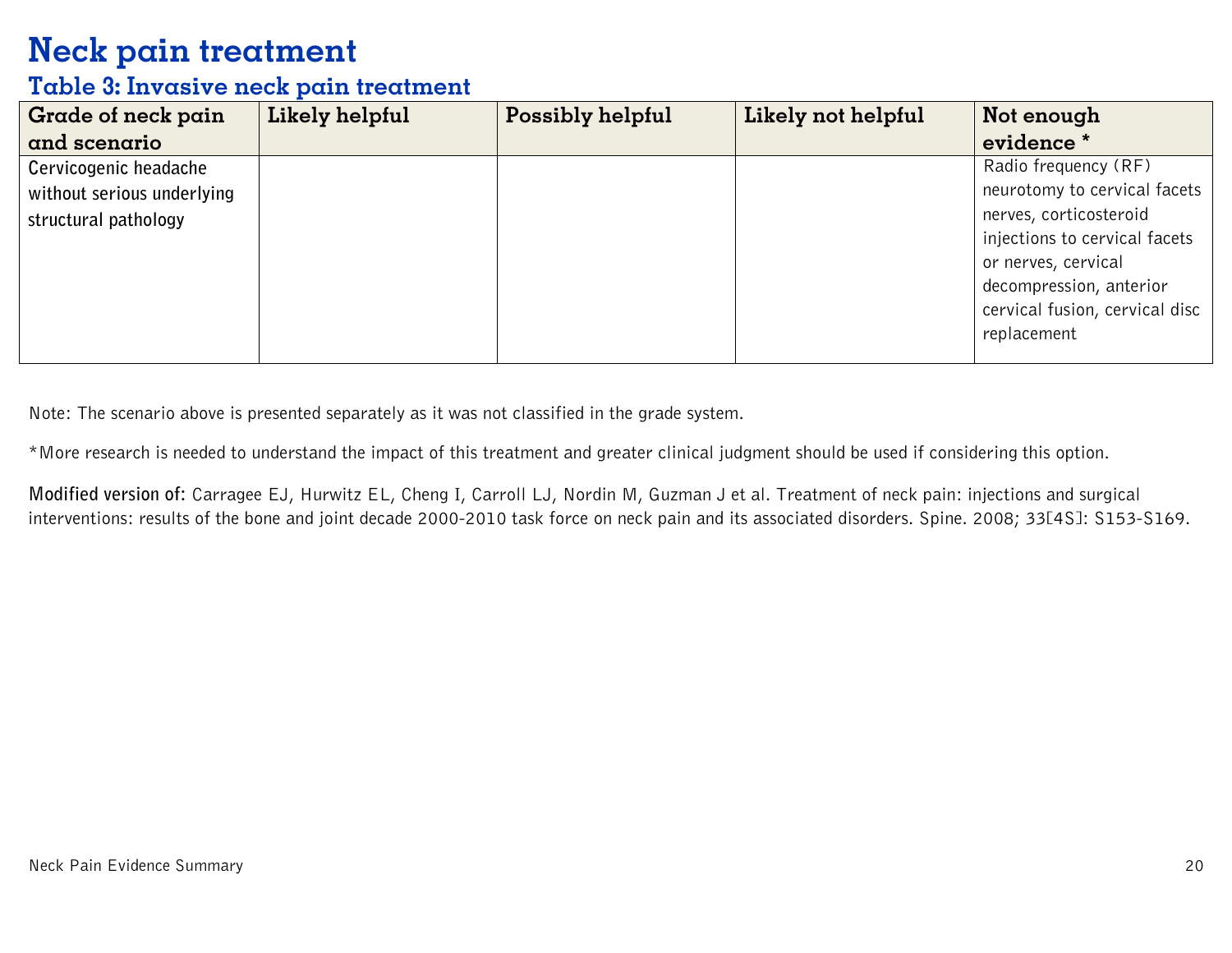#### **Table 3: Invasive neck pain treatment**

| Grade of neck pain         | Likely helpful | Possibly helpful | Likely not helpful | Not enough                     |
|----------------------------|----------------|------------------|--------------------|--------------------------------|
| and scenario               |                |                  |                    | evidence *                     |
| Cervicogenic headache      |                |                  |                    | Radio frequency (RF)           |
| without serious underlying |                |                  |                    | neurotomy to cervical facets   |
| structural pathology       |                |                  |                    | nerves, corticosteroid         |
|                            |                |                  |                    | injections to cervical facets  |
|                            |                |                  |                    | or nerves, cervical            |
|                            |                |                  |                    | decompression, anterior        |
|                            |                |                  |                    | cervical fusion, cervical disc |
|                            |                |                  |                    | replacement                    |
|                            |                |                  |                    |                                |

Note: The scenario above is presented separately as it was not classified in the grade system.

\*More research is needed to understand the impact of this treatment and greater clinical judgment should be used if considering this option.

**Modified version of:** Carragee EJ, Hurwitz EL, Cheng I, Carroll LJ, Nordin M, Guzman J et al. Treatment of neck pain: injections and surgical interventions: results of the bone and joint decade 2000-2010 task force on neck pain and its associated disorders. Spine. 2008; 33[4S]: S153-S169.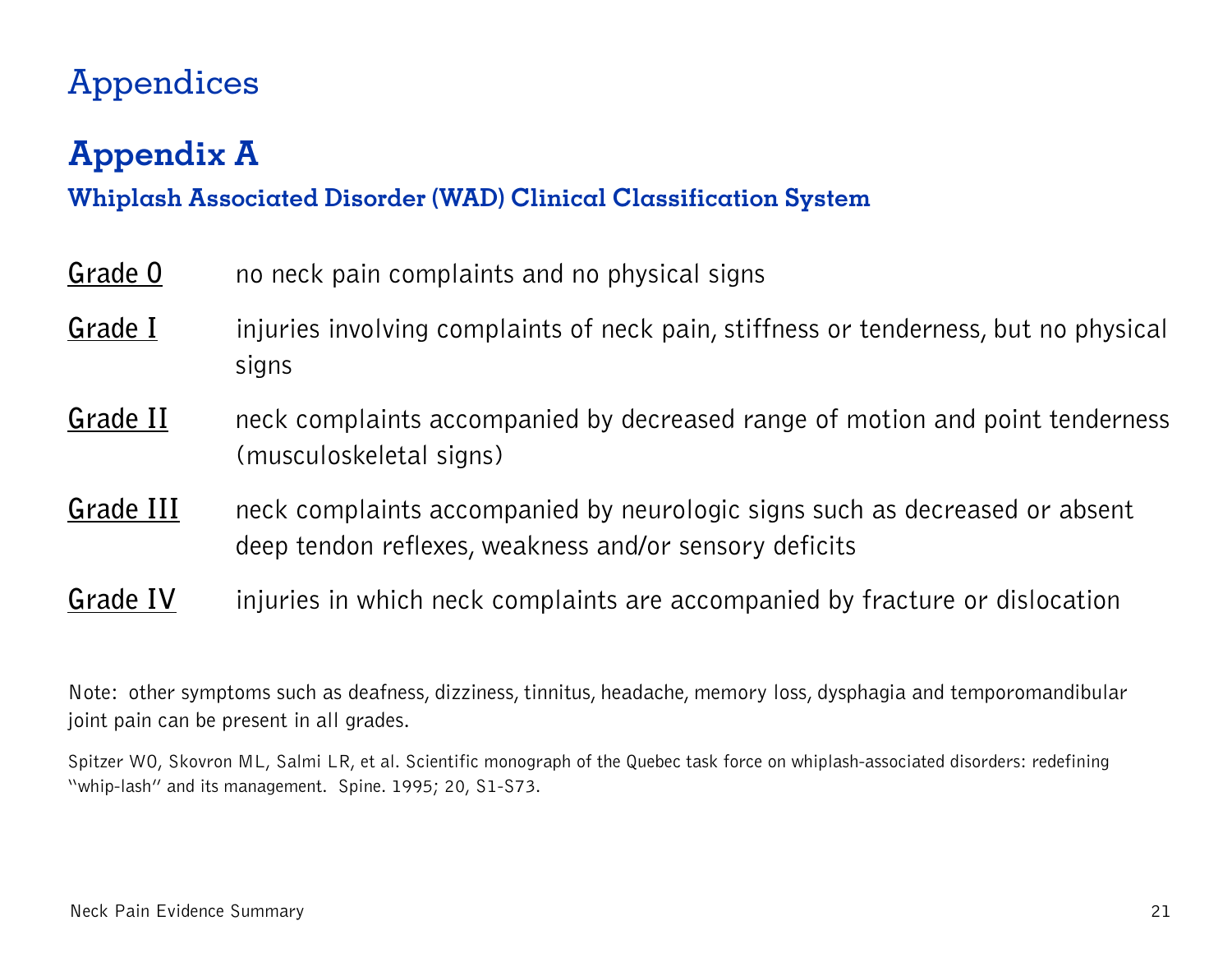# Appendices

# **Appendix A**

#### **Whiplash Associated Disorder (WAD) Clinical Classification System**

| Grade 0  | no neck pain complaints and no physical signs                                                            |
|----------|----------------------------------------------------------------------------------------------------------|
| Grade I  | injuries involving complaints of neck pain, stiffness or tenderness, but no physical<br>signs            |
| Grade II | neck complaints accompanied by decreased range of motion and point tenderness<br>(musculoskeletal signs) |

- **Grade III** neck complaints accompanied by neurologic signs such as decreased or absent deep tendon reflexes, weakness and/or sensory deficits
- **Grade IV** injuries in which neck complaints are accompanied by fracture or dislocation

Note: other symptoms such as deafness, dizziness, tinnitus, headache, memory loss, dysphagia and temporomandibular joint pain can be present in all grades.

Spitzer WO, Skovron ML, Salmi LR, et al. Scientific monograph of the Quebec task force on whiplash-associated disorders: redefining "whip-lash" and its management. Spine. 1995; 20, S1-S73.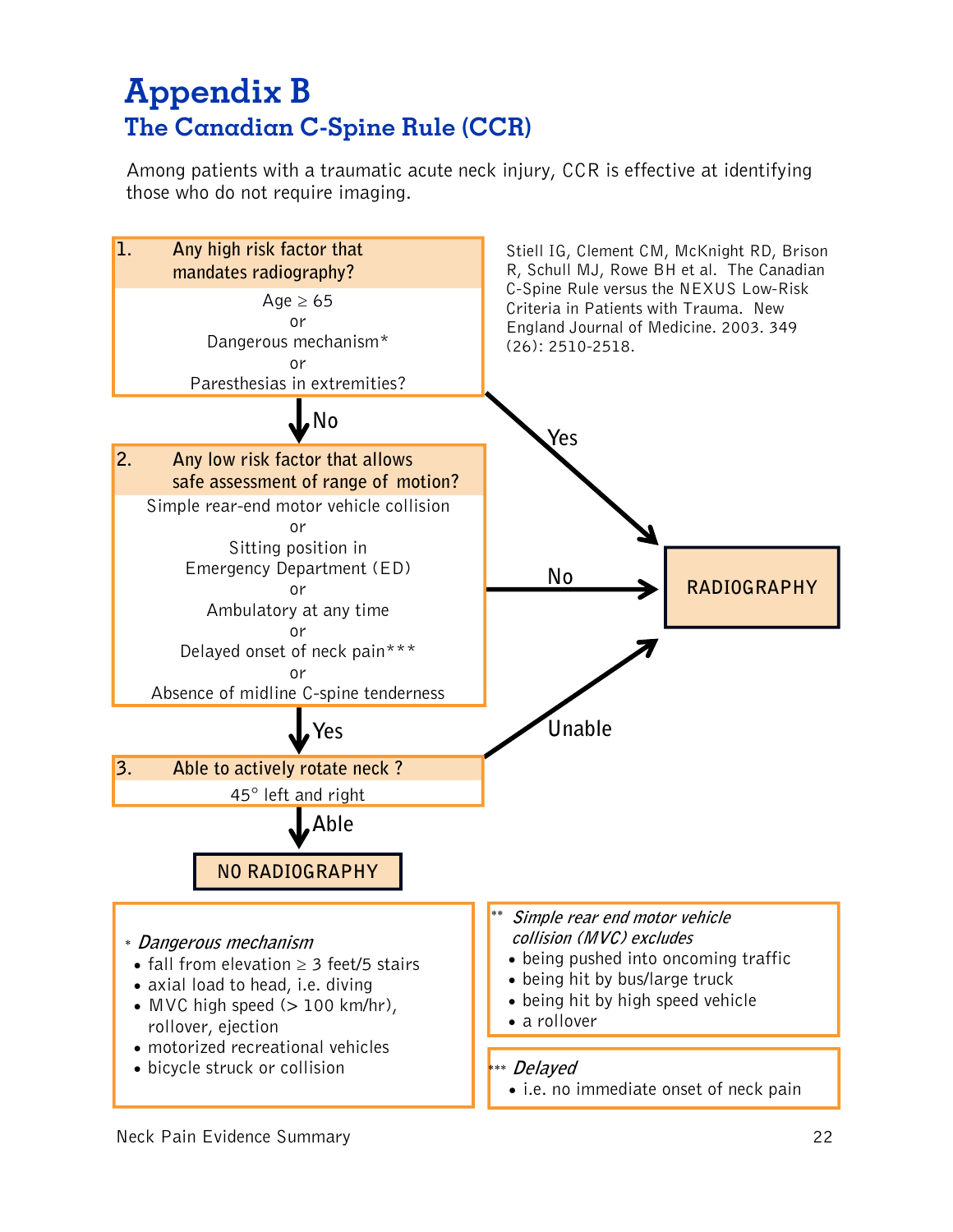#### **The Canadian C-Spine Rule (CCR) Appendix B**

Among patients with a traumatic acute neck injury, CCR is effective at identifying those who do not require imaging.

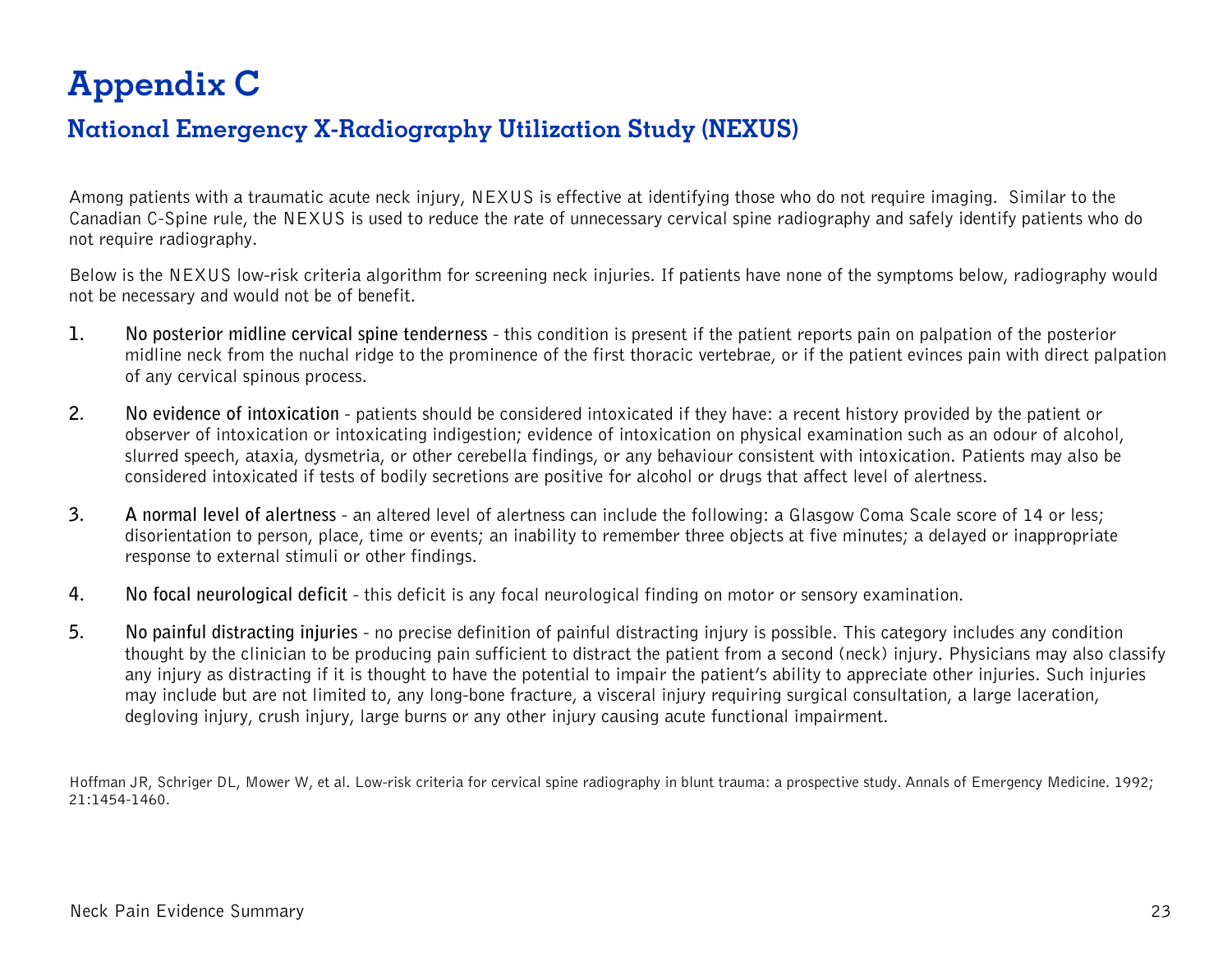# **Appendix C**

#### **National Emergency X-Radiography Utilization Study (NEXUS)**

Among patients with a traumatic acute neck injury, NEXUS is effective at identifying those who do not require imaging. Similar to the Canadian C-Spine rule, the NEXUS is used to reduce the rate of unnecessary cervical spine radiography and safely identify patients who do not require radiography.

Below is the NEXUS low-risk criteria algorithm for screening neck injuries. If patients have none of the symptoms below, radiography would not be necessary and would not be of benefit.

- **1. No posterior midline cervical spine tenderness** this condition is present if the patient reports pain on palpation of the posterior midline neck from the nuchal ridge to the prominence of the first thoracic vertebrae, or if the patient evinces pain with direct palpation of any cervical spinous process.
- **2. No evidence of intoxication** patients should be considered intoxicated if they have: a recent history provided by the patient or observer of intoxication or intoxicating indigestion; evidence of intoxication on physical examination such as an odour of alcohol, slurred speech, ataxia, dysmetria, or other cerebella findings, or any behaviour consistent with intoxication. Patients may also be considered intoxicated if tests of bodily secretions are positive for alcohol or drugs that affect level of alertness.
- **3. A normal level of alertness** an altered level of alertness can include the following: a Glasgow Coma Scale score of 14 or less; disorientation to person, place, time or events; an inability to remember three objects at five minutes; a delayed or inappropriate response to external stimuli or other findings.
- **4. No focal neurological deficit** this deficit is any focal neurological finding on motor or sensory examination.
- **5. No painful distracting injuries** no precise definition of painful distracting injury is possible. This category includes any condition thought by the clinician to be producing pain sufficient to distract the patient from a second (neck) injury. Physicians may also classify any injury as distracting if it is thought to have the potential to impair the patient's ability to appreciate other injuries. Such injuries may include but are not limited to, any long-bone fracture, a visceral injury requiring surgical consultation, a large laceration, degloving injury, crush injury, large burns or any other injury causing acute functional impairment.

Hoffman JR, Schriger DL, Mower W, et al. Low-risk criteria for cervical spine radiography in blunt trauma: a prospective study. Annals of Emergency Medicine. 1992; 21:1454-1460.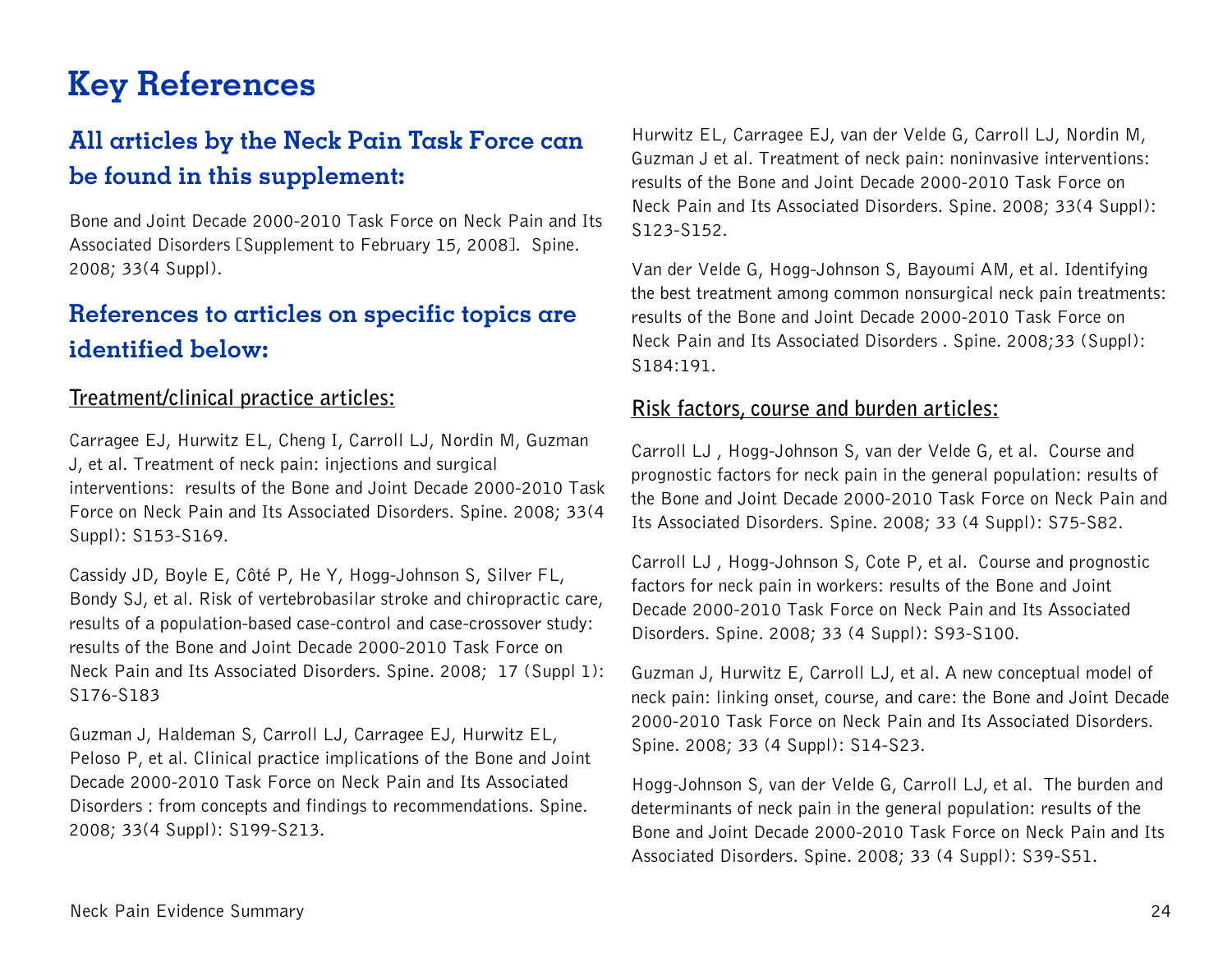### **Key References**

#### **All articles by the Neck Pain Task Force can be found in this supplement:**

Bone and Joint Decade 2000-2010 Task Force on Neck Pain and Its Associated Disorders [Supplement to February 15, 2008]. Spine. 2008; 33(4 Suppl).

#### **References to articles on specific topics are identified below:**

#### **Treatment/clinical practice articles:**

Carragee EJ, Hurwitz EL, Cheng I, Carroll LJ, Nordin M, Guzman J, et al. Treatment of neck pain: injections and surgical interventions: results of the Bone and Joint Decade 2000-2010 Task Force on Neck Pain and Its Associated Disorders. Spine. 2008; 33(4 Suppl): S153-S169.

Cassidy JD, Boyle E, Côté P, He Y, Hogg-Johnson S, Silver FL, Bondy SJ, et al. Risk of vertebrobasilar stroke and chiropractic care, results of a population-based case-control and case-crossover study: results of the Bone and Joint Decade 2000-2010 Task Force on Neck Pain and Its Associated Disorders. Spine. 2008; 17 (Suppl 1): S176-S183

Guzman J, Haldeman S, Carroll LJ, Carragee EJ, Hurwitz EL, Peloso P, et al. Clinical practice implications of the Bone and Joint Decade 2000-2010 Task Force on Neck Pain and Its Associated Disorders : from concepts and findings to recommendations. Spine. 2008; 33(4 Suppl): S199-S213.

Hurwitz EL, Carragee EJ, van der Velde G, Carroll LJ, Nordin M, Guzman J et al. Treatment of neck pain: noninvasive interventions: results of the Bone and Joint Decade 2000-2010 Task Force on Neck Pain and Its Associated Disorders. Spine. 2008; 33(4 Suppl): S123-S152.

Van der Velde G, Hogg-Johnson S, Bayoumi AM, et al. Identifying the best treatment among common nonsurgical neck pain treatments: results of the Bone and Joint Decade 2000-2010 Task Force on Neck Pain and Its Associated Disorders . Spine. 2008;33 (Suppl): S184:191.

#### **Risk factors, course and burden articles:**

Carroll LJ , Hogg-Johnson S, van der Velde G, et al. Course and prognostic factors for neck pain in the general population: results of the Bone and Joint Decade 2000-2010 Task Force on Neck Pain and Its Associated Disorders. Spine. 2008; 33 (4 Suppl): S75-S82.

Carroll LJ , Hogg-Johnson S, Cote P, et al. Course and prognostic factors for neck pain in workers: results of the Bone and Joint Decade 2000-2010 Task Force on Neck Pain and Its Associated Disorders. Spine. 2008; 33 (4 Suppl): S93-S100.

Guzman J, Hurwitz E, Carroll LJ, et al. A new conceptual model of neck pain: linking onset, course, and care: the Bone and Joint Decade 2000-2010 Task Force on Neck Pain and Its Associated Disorders. Spine. 2008; 33 (4 Suppl): S14-S23.

Hogg-Johnson S, van der Velde G, Carroll LJ, et al. The burden and determinants of neck pain in the general population: results of the Bone and Joint Decade 2000-2010 Task Force on Neck Pain and Its Associated Disorders. Spine. 2008; 33 (4 Suppl): S39-S51.